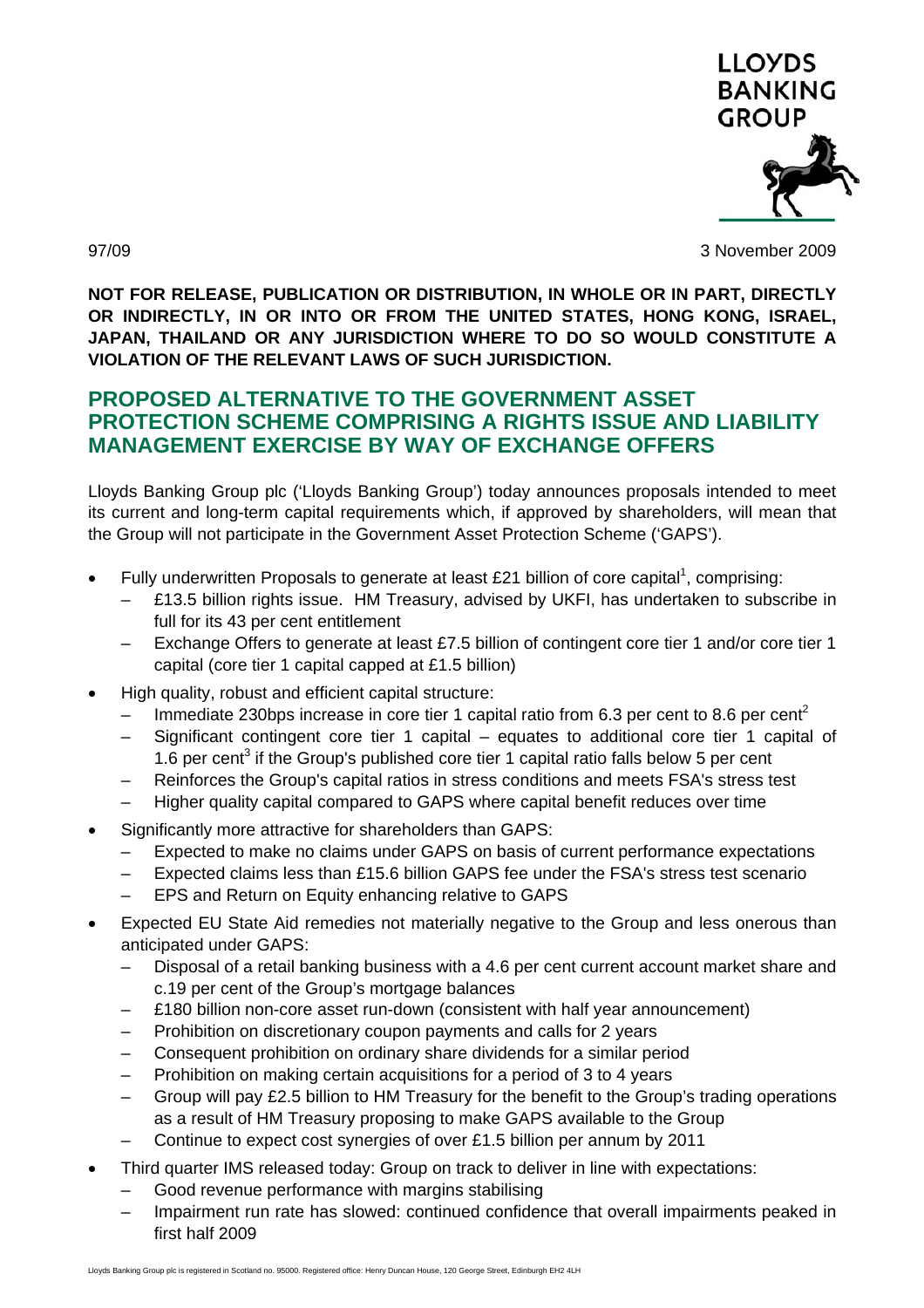

97/09 3 November 2009

**NOT FOR RELEASE, PUBLICATION OR DISTRIBUTION, IN WHOLE OR IN PART, DIRECTLY OR INDIRECTLY, IN OR INTO OR FROM THE UNITED STATES, HONG KONG, ISRAEL, JAPAN, THAILAND OR ANY JURISDICTION WHERE TO DO SO WOULD CONSTITUTE A VIOLATION OF THE RELEVANT LAWS OF SUCH JURISDICTION.** 

# **PROPOSED ALTERNATIVE TO THE GOVERNMENT ASSET PROTECTION SCHEME COMPRISING A RIGHTS ISSUE AND LIABILITY MANAGEMENT EXERCISE BY WAY OF EXCHANGE OFFERS**

Lloyds Banking Group plc ('Lloyds Banking Group') today announces proposals intended to meet its current and long-term capital requirements which, if approved by shareholders, will mean that the Group will not participate in the Government Asset Protection Scheme ('GAPS').

- Fully underwritten Proposals to generate at least £21 billion of core capital<sup>1</sup>, comprising:
	- £13.5 billion rights issue. HM Treasury, advised by UKFI, has undertaken to subscribe in full for its 43 per cent entitlement
	- Exchange Offers to generate at least £7.5 billion of contingent core tier 1 and/or core tier 1 capital (core tier 1 capital capped at £1.5 billion)
- High quality, robust and efficient capital structure:
	- Immediate 230bps increase in core tier 1 capital ratio from 6.3 per cent to 8.6 per cent<sup>2</sup>
	- Significant contingent core tier 1 capital equates to additional core tier 1 capital of 1.6 per cent<sup>3</sup> if the Group's published core tier 1 capital ratio falls below 5 per cent
	- Reinforces the Group's capital ratios in stress conditions and meets FSA's stress test
	- Higher quality capital compared to GAPS where capital benefit reduces over time
- Significantly more attractive for shareholders than GAPS:
	- Expected to make no claims under GAPS on basis of current performance expectations
	- Expected claims less than £15.6 billion GAPS fee under the FSA's stress test scenario
	- EPS and Return on Equity enhancing relative to GAPS
- Expected EU State Aid remedies not materially negative to the Group and less onerous than anticipated under GAPS:
	- Disposal of a retail banking business with a 4.6 per cent current account market share and c.19 per cent of the Group's mortgage balances
	- £180 billion non-core asset run-down (consistent with half year announcement)
	- Prohibition on discretionary coupon payments and calls for 2 years
	- Consequent prohibition on ordinary share dividends for a similar period
	- Prohibition on making certain acquisitions for a period of 3 to 4 years
	- Group will pay £2.5 billion to HM Treasury for the benefit to the Group's trading operations as a result of HM Treasury proposing to make GAPS available to the Group
	- Continue to expect cost synergies of over £1.5 billion per annum by 2011
- Third quarter IMS released today: Group on track to deliver in line with expectations:
	- Good revenue performance with margins stabilising
	- Impairment run rate has slowed: continued confidence that overall impairments peaked in first half 2009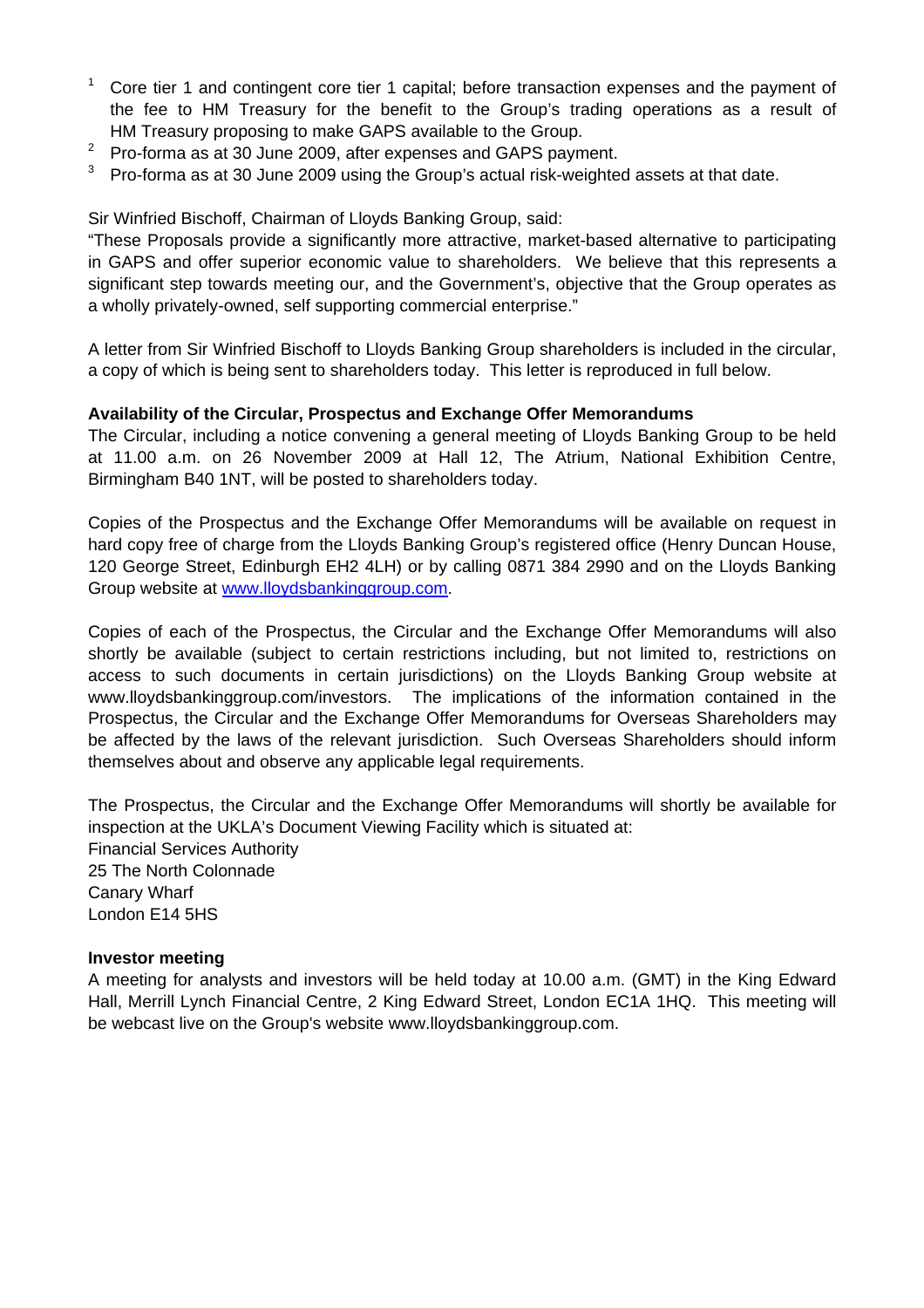- 1 Core tier 1 and contingent core tier 1 capital; before transaction expenses and the payment of the fee to HM Treasury for the benefit to the Group's trading operations as a result of HM Treasury proposing to make GAPS available to the Group.
- <sup>2</sup> Pro-forma as at 30 June 2009, after expenses and GAPS payment.
- $3$  Pro-forma as at 30 June 2009 using the Group's actual risk-weighted assets at that date.

Sir Winfried Bischoff, Chairman of Lloyds Banking Group, said:

"These Proposals provide a significantly more attractive, market-based alternative to participating in GAPS and offer superior economic value to shareholders. We believe that this represents a significant step towards meeting our, and the Government's, objective that the Group operates as a wholly privately-owned, self supporting commercial enterprise."

A letter from Sir Winfried Bischoff to Lloyds Banking Group shareholders is included in the circular, a copy of which is being sent to shareholders today. This letter is reproduced in full below.

### **Availability of the Circular, Prospectus and Exchange Offer Memorandums**

The Circular, including a notice convening a general meeting of Lloyds Banking Group to be held at 11.00 a.m. on 26 November 2009 at Hall 12, The Atrium, National Exhibition Centre, Birmingham B40 1NT, will be posted to shareholders today.

Copies of the Prospectus and the Exchange Offer Memorandums will be available on request in hard copy free of charge from the Lloyds Banking Group's registered office (Henry Duncan House, 120 George Street, Edinburgh EH2 4LH) or by calling 0871 384 2990 and on the Lloyds Banking Group website at www.lloydsbankinggroup.com.

Copies of each of the Prospectus, the Circular and the Exchange Offer Memorandums will also shortly be available (subject to certain restrictions including, but not limited to, restrictions on access to such documents in certain jurisdictions) on the Lloyds Banking Group website at www.lloydsbankinggroup.com/investors. The implications of the information contained in the Prospectus, the Circular and the Exchange Offer Memorandums for Overseas Shareholders may be affected by the laws of the relevant jurisdiction. Such Overseas Shareholders should inform themselves about and observe any applicable legal requirements.

The Prospectus, the Circular and the Exchange Offer Memorandums will shortly be available for inspection at the UKLA's Document Viewing Facility which is situated at: Financial Services Authority 25 The North Colonnade Canary Wharf London E14 5HS

### **Investor meeting**

A meeting for analysts and investors will be held today at 10.00 a.m. (GMT) in the King Edward Hall, Merrill Lynch Financial Centre, 2 King Edward Street, London EC1A 1HQ. This meeting will be webcast live on the Group's website www.lloydsbankinggroup.com.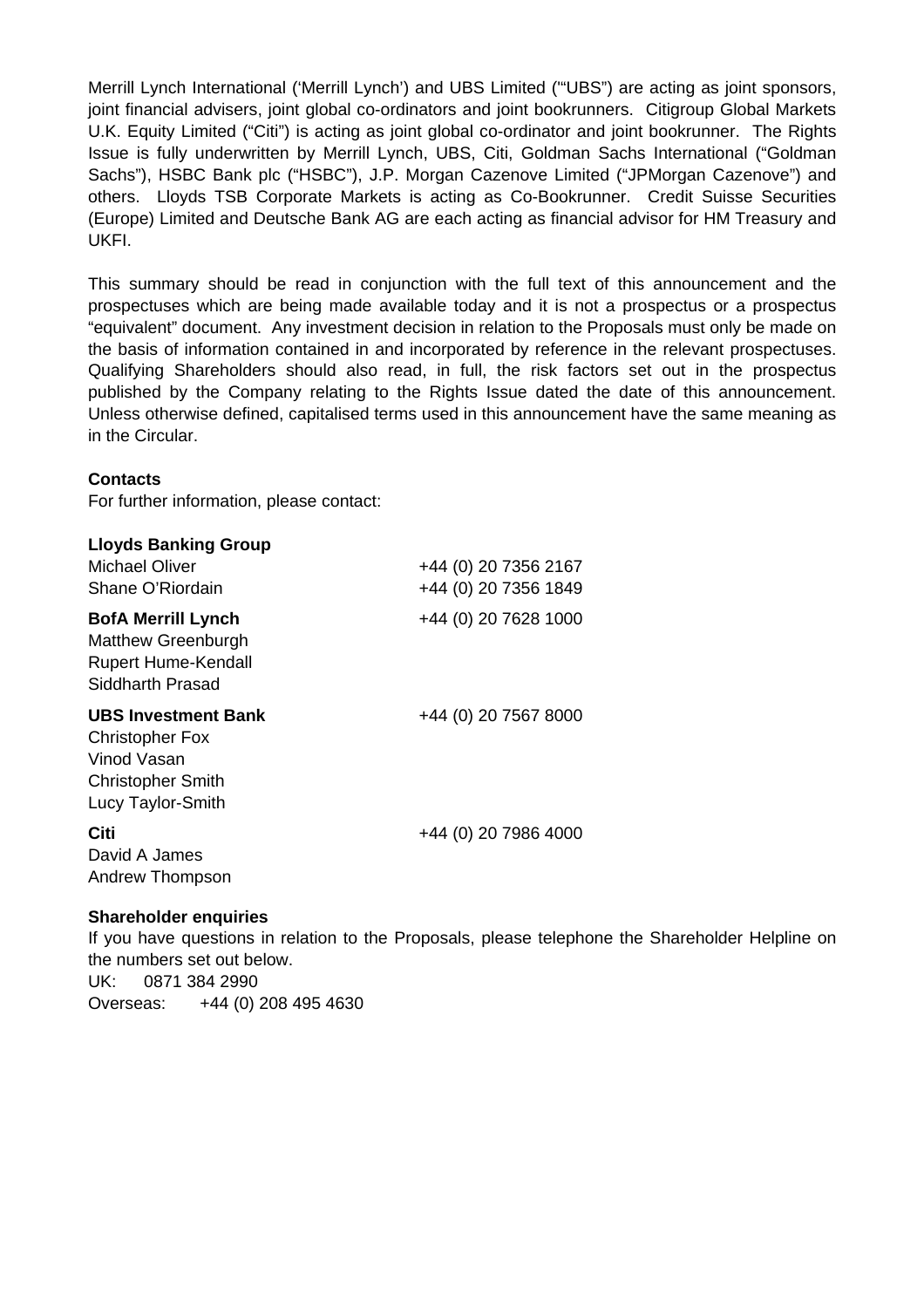Merrill Lynch International ('Merrill Lynch') and UBS Limited ('"UBS") are acting as joint sponsors, joint financial advisers, joint global co-ordinators and joint bookrunners. Citigroup Global Markets U.K. Equity Limited ("Citi") is acting as joint global co-ordinator and joint bookrunner. The Rights Issue is fully underwritten by Merrill Lynch, UBS, Citi, Goldman Sachs International ("Goldman Sachs"), HSBC Bank plc ("HSBC"), J.P. Morgan Cazenove Limited ("JPMorgan Cazenove") and others. Lloyds TSB Corporate Markets is acting as Co-Bookrunner. Credit Suisse Securities (Europe) Limited and Deutsche Bank AG are each acting as financial advisor for HM Treasury and UKFI.

This summary should be read in conjunction with the full text of this announcement and the prospectuses which are being made available today and it is not a prospectus or a prospectus "equivalent" document. Any investment decision in relation to the Proposals must only be made on the basis of information contained in and incorporated by reference in the relevant prospectuses. Qualifying Shareholders should also read, in full, the risk factors set out in the prospectus published by the Company relating to the Rights Issue dated the date of this announcement. Unless otherwise defined, capitalised terms used in this announcement have the same meaning as in the Circular.

#### **Contacts**

For further information, please contact:

| <b>Lloyds Banking Group</b><br>Michael Oliver<br>Shane O'Riordain                                                    | +44 (0) 20 7356 2167<br>+44 (0) 20 7356 1849 |
|----------------------------------------------------------------------------------------------------------------------|----------------------------------------------|
| <b>BofA Merrill Lynch</b><br><b>Matthew Greenburgh</b><br><b>Rupert Hume-Kendall</b><br>Siddharth Prasad             | +44 (0) 20 7628 1000                         |
| <b>UBS Investment Bank</b><br><b>Christopher Fox</b><br>Vinod Vasan<br><b>Christopher Smith</b><br>Lucy Taylor-Smith | +44 (0) 20 7567 8000                         |
| Citi<br>David A James<br>Andrew Thompson                                                                             | +44 (0) 20 7986 4000                         |

### **Shareholder enquiries**

If you have questions in relation to the Proposals, please telephone the Shareholder Helpline on the numbers set out below. UK: 0871 384 2990 Overseas: +44 (0) 208 495 4630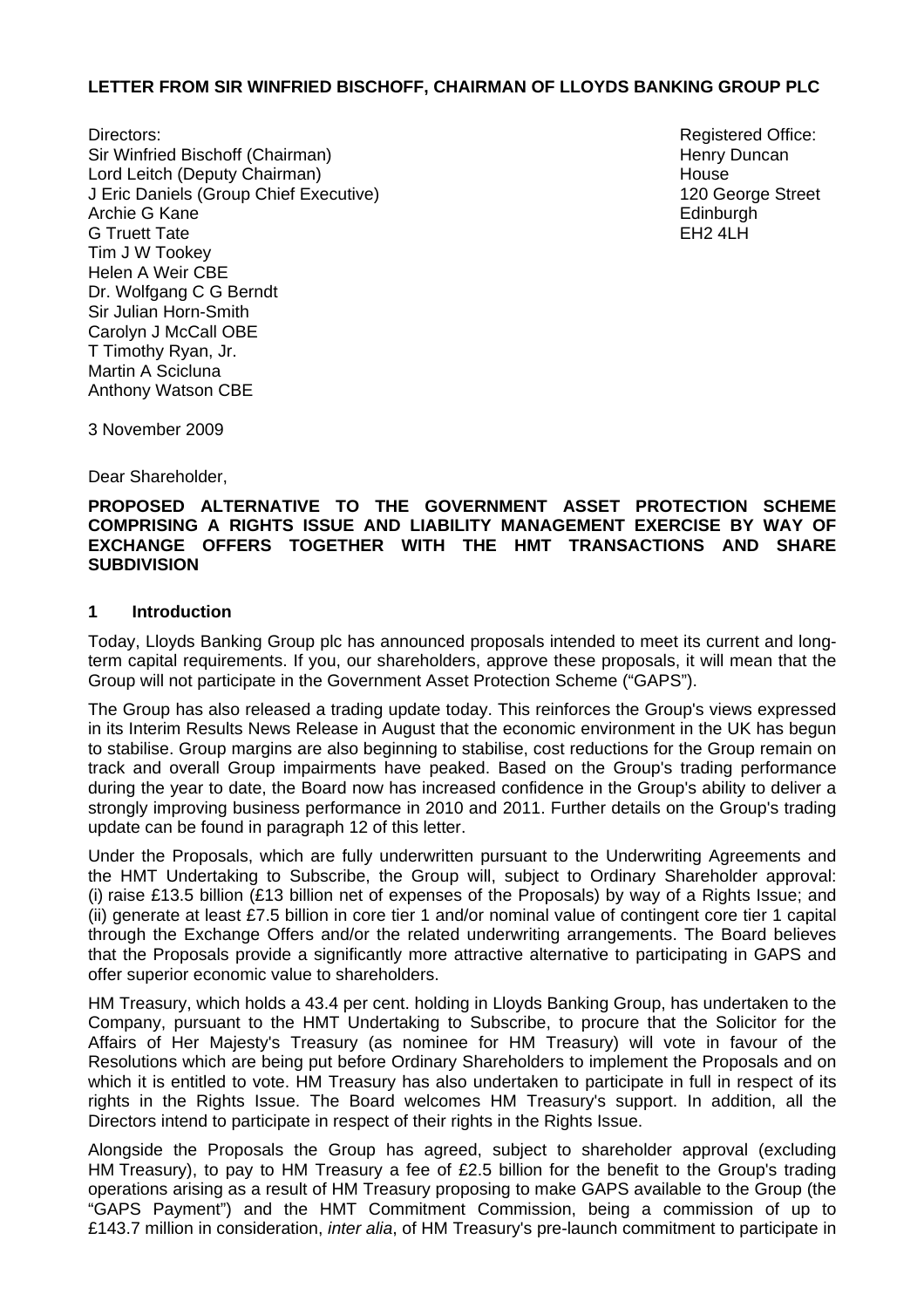#### **LETTER FROM SIR WINFRIED BISCHOFF, CHAIRMAN OF LLOYDS BANKING GROUP PLC**

Directors: **Registered Office: Registered Office: Registered Office: Registered Office:** Sir Winfried Bischoff (Chairman) Lord Leitch (Deputy Chairman) J Eric Daniels (Group Chief Executive) Archie G Kane G Truett Tate Tim J W Tookey Helen A Weir CBE Dr. Wolfgang C G Berndt Sir Julian Horn-Smith Carolyn J McCall OBE T Timothy Ryan, Jr. Martin A Scicluna Anthony Watson CBE

Henry Duncan House 120 George Street **Edinburgh**  $FH2$  4LH

3 November 2009

Dear Shareholder,

#### **PROPOSED ALTERNATIVE TO THE GOVERNMENT ASSET PROTECTION SCHEME COMPRISING A RIGHTS ISSUE AND LIABILITY MANAGEMENT EXERCISE BY WAY OF EXCHANGE OFFERS TOGETHER WITH THE HMT TRANSACTIONS AND SHARE SUBDIVISION**

#### **1 Introduction**

Today, Lloyds Banking Group plc has announced proposals intended to meet its current and longterm capital requirements. If you, our shareholders, approve these proposals, it will mean that the Group will not participate in the Government Asset Protection Scheme ("GAPS").

The Group has also released a trading update today. This reinforces the Group's views expressed in its Interim Results News Release in August that the economic environment in the UK has begun to stabilise. Group margins are also beginning to stabilise, cost reductions for the Group remain on track and overall Group impairments have peaked. Based on the Group's trading performance during the year to date, the Board now has increased confidence in the Group's ability to deliver a strongly improving business performance in 2010 and 2011. Further details on the Group's trading update can be found in paragraph 12 of this letter.

Under the Proposals, which are fully underwritten pursuant to the Underwriting Agreements and the HMT Undertaking to Subscribe, the Group will, subject to Ordinary Shareholder approval: (i) raise £13.5 billion (£13 billion net of expenses of the Proposals) by way of a Rights Issue; and (ii) generate at least £7.5 billion in core tier 1 and/or nominal value of contingent core tier 1 capital through the Exchange Offers and/or the related underwriting arrangements. The Board believes that the Proposals provide a significantly more attractive alternative to participating in GAPS and offer superior economic value to shareholders.

HM Treasury, which holds a 43.4 per cent. holding in Lloyds Banking Group, has undertaken to the Company, pursuant to the HMT Undertaking to Subscribe, to procure that the Solicitor for the Affairs of Her Majesty's Treasury (as nominee for HM Treasury) will vote in favour of the Resolutions which are being put before Ordinary Shareholders to implement the Proposals and on which it is entitled to vote. HM Treasury has also undertaken to participate in full in respect of its rights in the Rights Issue. The Board welcomes HM Treasury's support. In addition, all the Directors intend to participate in respect of their rights in the Rights Issue.

Alongside the Proposals the Group has agreed, subject to shareholder approval (excluding HM Treasury), to pay to HM Treasury a fee of £2.5 billion for the benefit to the Group's trading operations arising as a result of HM Treasury proposing to make GAPS available to the Group (the "GAPS Payment") and the HMT Commitment Commission, being a commission of up to £143.7 million in consideration, *inter alia*, of HM Treasury's pre-launch commitment to participate in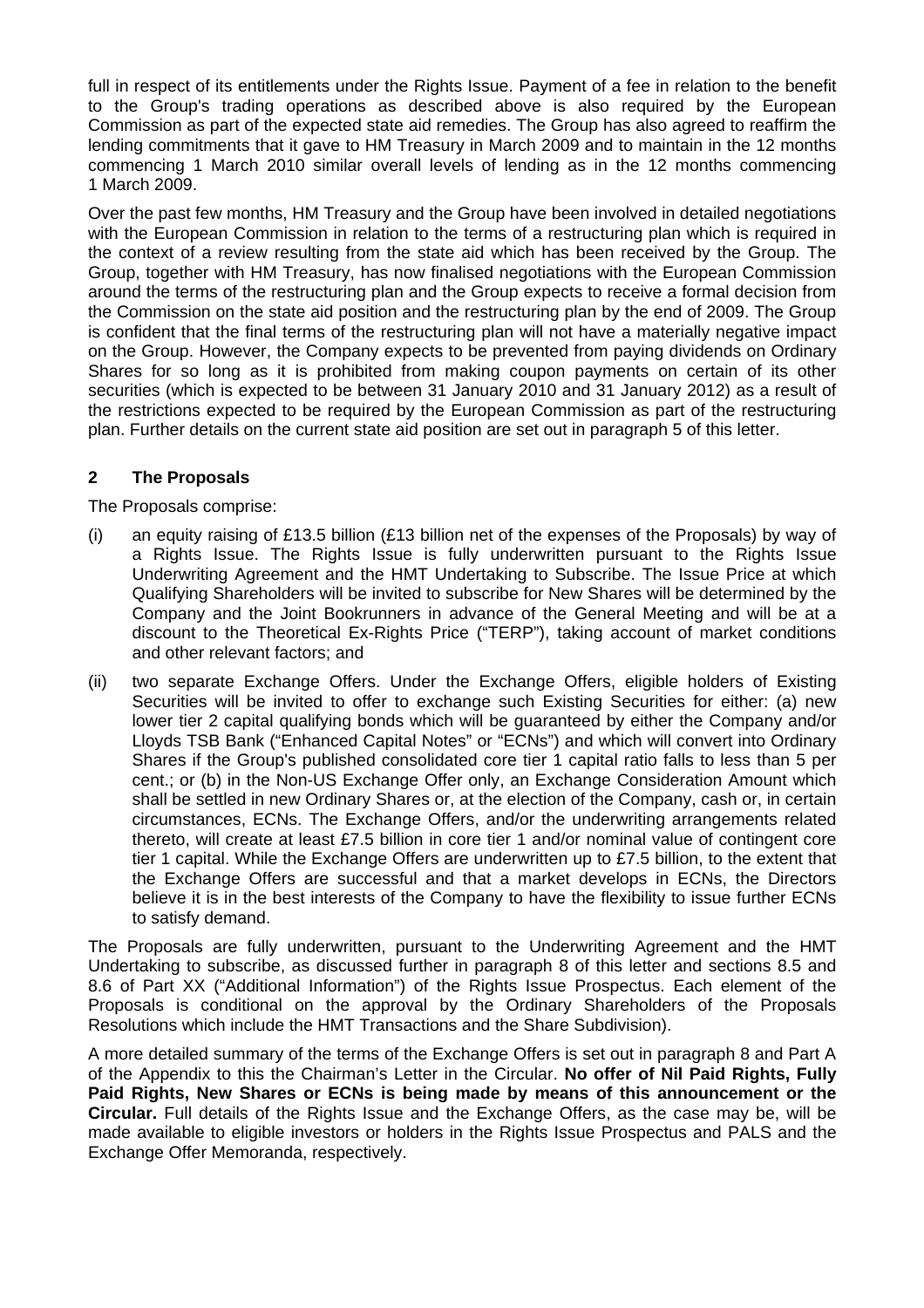full in respect of its entitlements under the Rights Issue. Payment of a fee in relation to the benefit to the Group's trading operations as described above is also required by the European Commission as part of the expected state aid remedies. The Group has also agreed to reaffirm the lending commitments that it gave to HM Treasury in March 2009 and to maintain in the 12 months commencing 1 March 2010 similar overall levels of lending as in the 12 months commencing 1 March 2009.

Over the past few months, HM Treasury and the Group have been involved in detailed negotiations with the European Commission in relation to the terms of a restructuring plan which is required in the context of a review resulting from the state aid which has been received by the Group. The Group, together with HM Treasury, has now finalised negotiations with the European Commission around the terms of the restructuring plan and the Group expects to receive a formal decision from the Commission on the state aid position and the restructuring plan by the end of 2009. The Group is confident that the final terms of the restructuring plan will not have a materially negative impact on the Group. However, the Company expects to be prevented from paying dividends on Ordinary Shares for so long as it is prohibited from making coupon payments on certain of its other securities (which is expected to be between 31 January 2010 and 31 January 2012) as a result of the restrictions expected to be required by the European Commission as part of the restructuring plan. Further details on the current state aid position are set out in paragraph 5 of this letter.

## **2 The Proposals**

The Proposals comprise:

- (i) an equity raising of £13.5 billion (£13 billion net of the expenses of the Proposals) by way of a Rights Issue. The Rights Issue is fully underwritten pursuant to the Rights Issue Underwriting Agreement and the HMT Undertaking to Subscribe. The Issue Price at which Qualifying Shareholders will be invited to subscribe for New Shares will be determined by the Company and the Joint Bookrunners in advance of the General Meeting and will be at a discount to the Theoretical Ex-Rights Price ("TERP"), taking account of market conditions and other relevant factors; and
- (ii) two separate Exchange Offers. Under the Exchange Offers, eligible holders of Existing Securities will be invited to offer to exchange such Existing Securities for either: (a) new lower tier 2 capital qualifying bonds which will be guaranteed by either the Company and/or Lloyds TSB Bank ("Enhanced Capital Notes" or "ECNs") and which will convert into Ordinary Shares if the Group's published consolidated core tier 1 capital ratio falls to less than 5 per cent.; or (b) in the Non-US Exchange Offer only, an Exchange Consideration Amount which shall be settled in new Ordinary Shares or, at the election of the Company, cash or, in certain circumstances, ECNs. The Exchange Offers, and/or the underwriting arrangements related thereto, will create at least £7.5 billion in core tier 1 and/or nominal value of contingent core tier 1 capital. While the Exchange Offers are underwritten up to £7.5 billion, to the extent that the Exchange Offers are successful and that a market develops in ECNs, the Directors believe it is in the best interests of the Company to have the flexibility to issue further ECNs to satisfy demand.

The Proposals are fully underwritten, pursuant to the Underwriting Agreement and the HMT Undertaking to subscribe, as discussed further in paragraph 8 of this letter and sections 8.5 and 8.6 of Part XX ("Additional Information") of the Rights Issue Prospectus. Each element of the Proposals is conditional on the approval by the Ordinary Shareholders of the Proposals Resolutions which include the HMT Transactions and the Share Subdivision).

A more detailed summary of the terms of the Exchange Offers is set out in paragraph 8 and Part A of the Appendix to this the Chairman's Letter in the Circular. **No offer of Nil Paid Rights, Fully Paid Rights, New Shares or ECNs is being made by means of this announcement or the Circular.** Full details of the Rights Issue and the Exchange Offers, as the case may be, will be made available to eligible investors or holders in the Rights Issue Prospectus and PALS and the Exchange Offer Memoranda, respectively.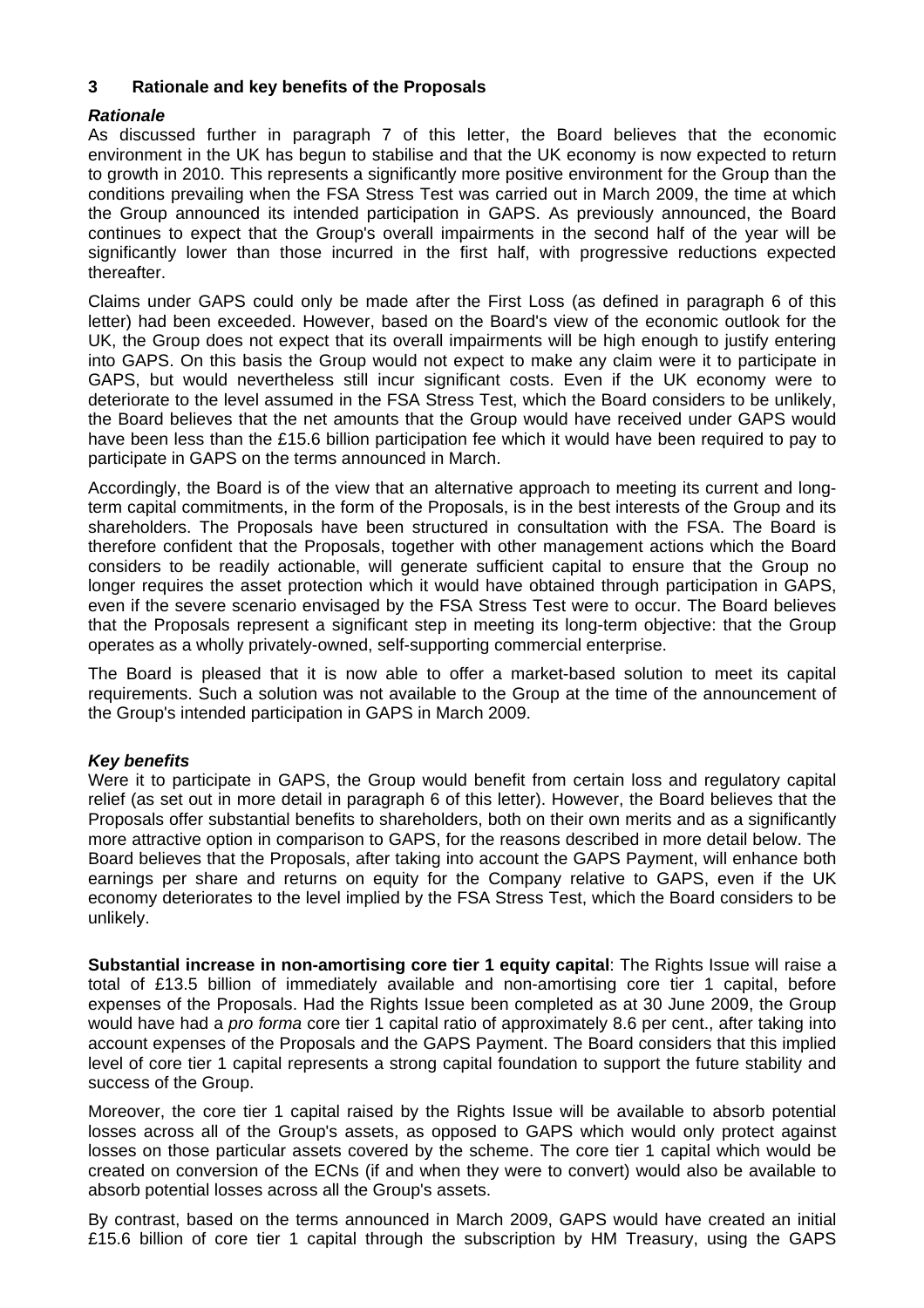### **3 Rationale and key benefits of the Proposals**

## *Rationale*

As discussed further in paragraph 7 of this letter, the Board believes that the economic environment in the UK has begun to stabilise and that the UK economy is now expected to return to growth in 2010. This represents a significantly more positive environment for the Group than the conditions prevailing when the FSA Stress Test was carried out in March 2009, the time at which the Group announced its intended participation in GAPS. As previously announced, the Board continues to expect that the Group's overall impairments in the second half of the year will be significantly lower than those incurred in the first half, with progressive reductions expected thereafter.

Claims under GAPS could only be made after the First Loss (as defined in paragraph 6 of this letter) had been exceeded. However, based on the Board's view of the economic outlook for the UK, the Group does not expect that its overall impairments will be high enough to justify entering into GAPS. On this basis the Group would not expect to make any claim were it to participate in GAPS, but would nevertheless still incur significant costs. Even if the UK economy were to deteriorate to the level assumed in the FSA Stress Test, which the Board considers to be unlikely, the Board believes that the net amounts that the Group would have received under GAPS would have been less than the £15.6 billion participation fee which it would have been required to pay to participate in GAPS on the terms announced in March.

Accordingly, the Board is of the view that an alternative approach to meeting its current and longterm capital commitments, in the form of the Proposals, is in the best interests of the Group and its shareholders. The Proposals have been structured in consultation with the FSA. The Board is therefore confident that the Proposals, together with other management actions which the Board considers to be readily actionable, will generate sufficient capital to ensure that the Group no longer requires the asset protection which it would have obtained through participation in GAPS, even if the severe scenario envisaged by the FSA Stress Test were to occur. The Board believes that the Proposals represent a significant step in meeting its long-term objective: that the Group operates as a wholly privately-owned, self-supporting commercial enterprise.

The Board is pleased that it is now able to offer a market-based solution to meet its capital requirements. Such a solution was not available to the Group at the time of the announcement of the Group's intended participation in GAPS in March 2009.

### *Key benefits*

Were it to participate in GAPS, the Group would benefit from certain loss and regulatory capital relief (as set out in more detail in paragraph 6 of this letter). However, the Board believes that the Proposals offer substantial benefits to shareholders, both on their own merits and as a significantly more attractive option in comparison to GAPS, for the reasons described in more detail below. The Board believes that the Proposals, after taking into account the GAPS Payment, will enhance both earnings per share and returns on equity for the Company relative to GAPS, even if the UK economy deteriorates to the level implied by the FSA Stress Test, which the Board considers to be unlikely.

**Substantial increase in non-amortising core tier 1 equity capital**: The Rights Issue will raise a total of £13.5 billion of immediately available and non-amortising core tier 1 capital, before expenses of the Proposals. Had the Rights Issue been completed as at 30 June 2009, the Group would have had a *pro forma* core tier 1 capital ratio of approximately 8.6 per cent., after taking into account expenses of the Proposals and the GAPS Payment. The Board considers that this implied level of core tier 1 capital represents a strong capital foundation to support the future stability and success of the Group.

Moreover, the core tier 1 capital raised by the Rights Issue will be available to absorb potential losses across all of the Group's assets, as opposed to GAPS which would only protect against losses on those particular assets covered by the scheme. The core tier 1 capital which would be created on conversion of the ECNs (if and when they were to convert) would also be available to absorb potential losses across all the Group's assets.

By contrast, based on the terms announced in March 2009, GAPS would have created an initial £15.6 billion of core tier 1 capital through the subscription by HM Treasury, using the GAPS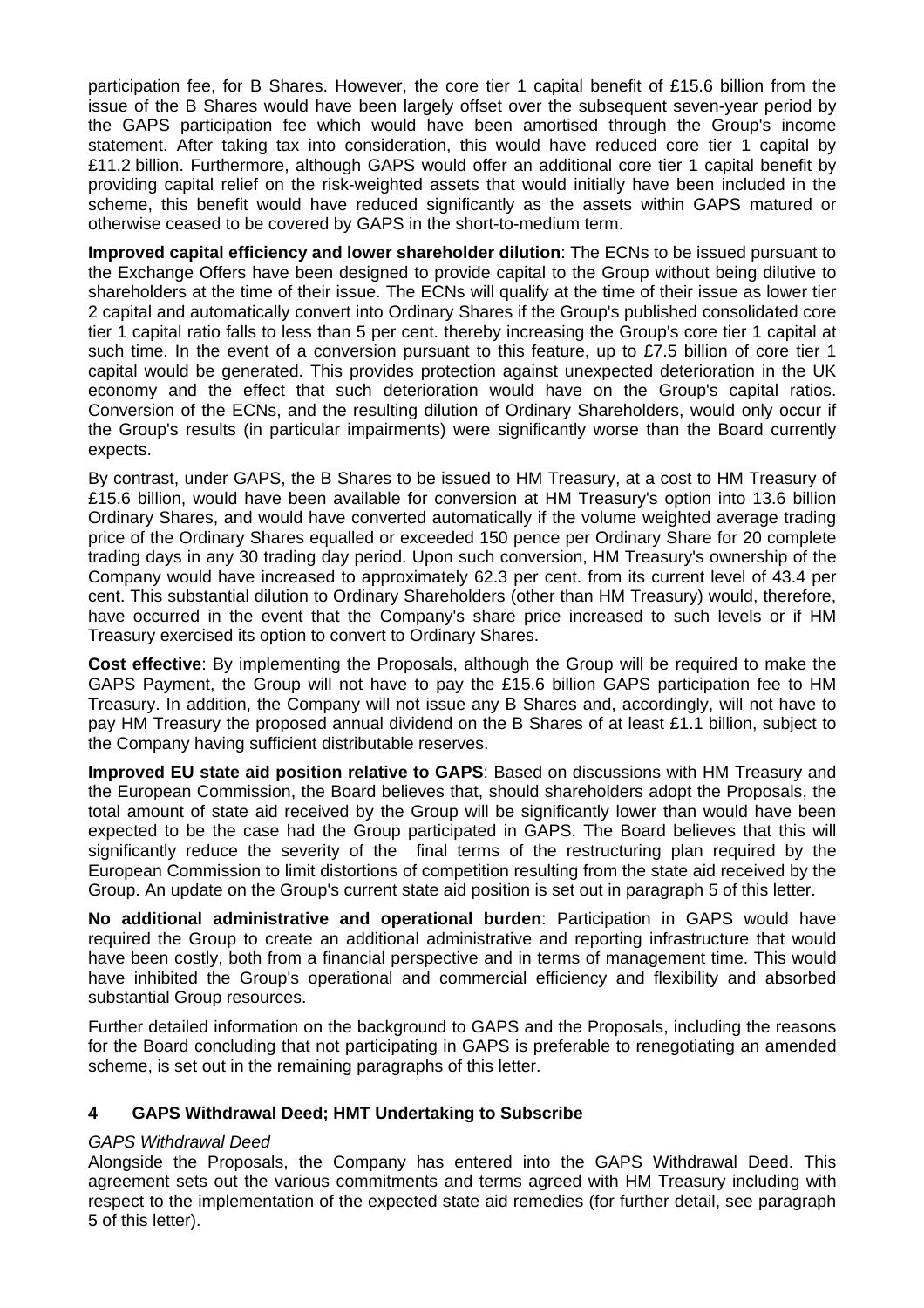participation fee, for B Shares. However, the core tier 1 capital benefit of £15.6 billion from the issue of the B Shares would have been largely offset over the subsequent seven-year period by the GAPS participation fee which would have been amortised through the Group's income statement. After taking tax into consideration, this would have reduced core tier 1 capital by £11.2 billion. Furthermore, although GAPS would offer an additional core tier 1 capital benefit by providing capital relief on the risk-weighted assets that would initially have been included in the scheme, this benefit would have reduced significantly as the assets within GAPS matured or otherwise ceased to be covered by GAPS in the short-to-medium term.

**Improved capital efficiency and lower shareholder dilution**: The ECNs to be issued pursuant to the Exchange Offers have been designed to provide capital to the Group without being dilutive to shareholders at the time of their issue. The ECNs will qualify at the time of their issue as lower tier 2 capital and automatically convert into Ordinary Shares if the Group's published consolidated core tier 1 capital ratio falls to less than 5 per cent. thereby increasing the Group's core tier 1 capital at such time. In the event of a conversion pursuant to this feature, up to £7.5 billion of core tier 1 capital would be generated. This provides protection against unexpected deterioration in the UK economy and the effect that such deterioration would have on the Group's capital ratios. Conversion of the ECNs, and the resulting dilution of Ordinary Shareholders, would only occur if the Group's results (in particular impairments) were significantly worse than the Board currently expects.

By contrast, under GAPS, the B Shares to be issued to HM Treasury, at a cost to HM Treasury of £15.6 billion, would have been available for conversion at HM Treasury's option into 13.6 billion Ordinary Shares, and would have converted automatically if the volume weighted average trading price of the Ordinary Shares equalled or exceeded 150 pence per Ordinary Share for 20 complete trading days in any 30 trading day period. Upon such conversion, HM Treasury's ownership of the Company would have increased to approximately 62.3 per cent. from its current level of 43.4 per cent. This substantial dilution to Ordinary Shareholders (other than HM Treasury) would, therefore, have occurred in the event that the Company's share price increased to such levels or if HM Treasury exercised its option to convert to Ordinary Shares.

**Cost effective**: By implementing the Proposals, although the Group will be required to make the GAPS Payment, the Group will not have to pay the £15.6 billion GAPS participation fee to HM Treasury. In addition, the Company will not issue any B Shares and, accordingly, will not have to pay HM Treasury the proposed annual dividend on the B Shares of at least £1.1 billion, subject to the Company having sufficient distributable reserves.

**Improved EU state aid position relative to GAPS**: Based on discussions with HM Treasury and the European Commission, the Board believes that, should shareholders adopt the Proposals, the total amount of state aid received by the Group will be significantly lower than would have been expected to be the case had the Group participated in GAPS. The Board believes that this will significantly reduce the severity of the final terms of the restructuring plan required by the European Commission to limit distortions of competition resulting from the state aid received by the Group. An update on the Group's current state aid position is set out in paragraph 5 of this letter.

**No additional administrative and operational burden**: Participation in GAPS would have required the Group to create an additional administrative and reporting infrastructure that would have been costly, both from a financial perspective and in terms of management time. This would have inhibited the Group's operational and commercial efficiency and flexibility and absorbed substantial Group resources.

Further detailed information on the background to GAPS and the Proposals, including the reasons for the Board concluding that not participating in GAPS is preferable to renegotiating an amended scheme, is set out in the remaining paragraphs of this letter.

# **4 GAPS Withdrawal Deed; HMT Undertaking to Subscribe**

# *GAPS Withdrawal Deed*

Alongside the Proposals, the Company has entered into the GAPS Withdrawal Deed. This agreement sets out the various commitments and terms agreed with HM Treasury including with respect to the implementation of the expected state aid remedies (for further detail, see paragraph 5 of this letter).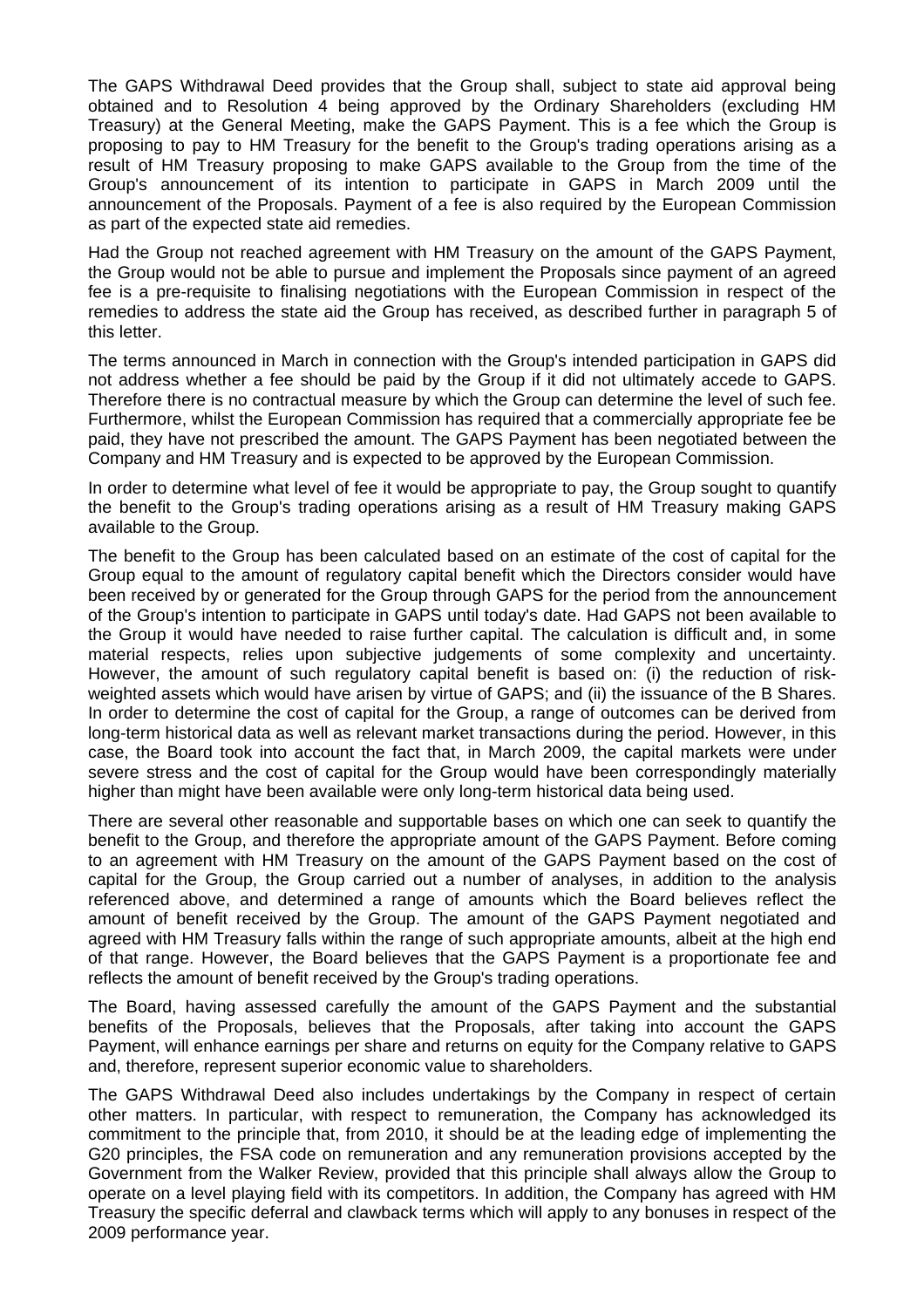The GAPS Withdrawal Deed provides that the Group shall, subject to state aid approval being obtained and to Resolution 4 being approved by the Ordinary Shareholders (excluding HM Treasury) at the General Meeting, make the GAPS Payment. This is a fee which the Group is proposing to pay to HM Treasury for the benefit to the Group's trading operations arising as a result of HM Treasury proposing to make GAPS available to the Group from the time of the Group's announcement of its intention to participate in GAPS in March 2009 until the announcement of the Proposals. Payment of a fee is also required by the European Commission as part of the expected state aid remedies.

Had the Group not reached agreement with HM Treasury on the amount of the GAPS Payment, the Group would not be able to pursue and implement the Proposals since payment of an agreed fee is a pre-requisite to finalising negotiations with the European Commission in respect of the remedies to address the state aid the Group has received, as described further in paragraph 5 of this letter.

The terms announced in March in connection with the Group's intended participation in GAPS did not address whether a fee should be paid by the Group if it did not ultimately accede to GAPS. Therefore there is no contractual measure by which the Group can determine the level of such fee. Furthermore, whilst the European Commission has required that a commercially appropriate fee be paid, they have not prescribed the amount. The GAPS Payment has been negotiated between the Company and HM Treasury and is expected to be approved by the European Commission.

In order to determine what level of fee it would be appropriate to pay, the Group sought to quantify the benefit to the Group's trading operations arising as a result of HM Treasury making GAPS available to the Group.

The benefit to the Group has been calculated based on an estimate of the cost of capital for the Group equal to the amount of regulatory capital benefit which the Directors consider would have been received by or generated for the Group through GAPS for the period from the announcement of the Group's intention to participate in GAPS until today's date. Had GAPS not been available to the Group it would have needed to raise further capital. The calculation is difficult and, in some material respects, relies upon subjective judgements of some complexity and uncertainty. However, the amount of such regulatory capital benefit is based on: (i) the reduction of riskweighted assets which would have arisen by virtue of GAPS; and (ii) the issuance of the B Shares. In order to determine the cost of capital for the Group, a range of outcomes can be derived from long-term historical data as well as relevant market transactions during the period. However, in this case, the Board took into account the fact that, in March 2009, the capital markets were under severe stress and the cost of capital for the Group would have been correspondingly materially higher than might have been available were only long-term historical data being used.

There are several other reasonable and supportable bases on which one can seek to quantify the benefit to the Group, and therefore the appropriate amount of the GAPS Payment. Before coming to an agreement with HM Treasury on the amount of the GAPS Payment based on the cost of capital for the Group, the Group carried out a number of analyses, in addition to the analysis referenced above, and determined a range of amounts which the Board believes reflect the amount of benefit received by the Group. The amount of the GAPS Payment negotiated and agreed with HM Treasury falls within the range of such appropriate amounts, albeit at the high end of that range. However, the Board believes that the GAPS Payment is a proportionate fee and reflects the amount of benefit received by the Group's trading operations.

The Board, having assessed carefully the amount of the GAPS Payment and the substantial benefits of the Proposals, believes that the Proposals, after taking into account the GAPS Payment, will enhance earnings per share and returns on equity for the Company relative to GAPS and, therefore, represent superior economic value to shareholders.

The GAPS Withdrawal Deed also includes undertakings by the Company in respect of certain other matters. In particular, with respect to remuneration, the Company has acknowledged its commitment to the principle that, from 2010, it should be at the leading edge of implementing the G20 principles, the FSA code on remuneration and any remuneration provisions accepted by the Government from the Walker Review, provided that this principle shall always allow the Group to operate on a level playing field with its competitors. In addition, the Company has agreed with HM Treasury the specific deferral and clawback terms which will apply to any bonuses in respect of the 2009 performance year.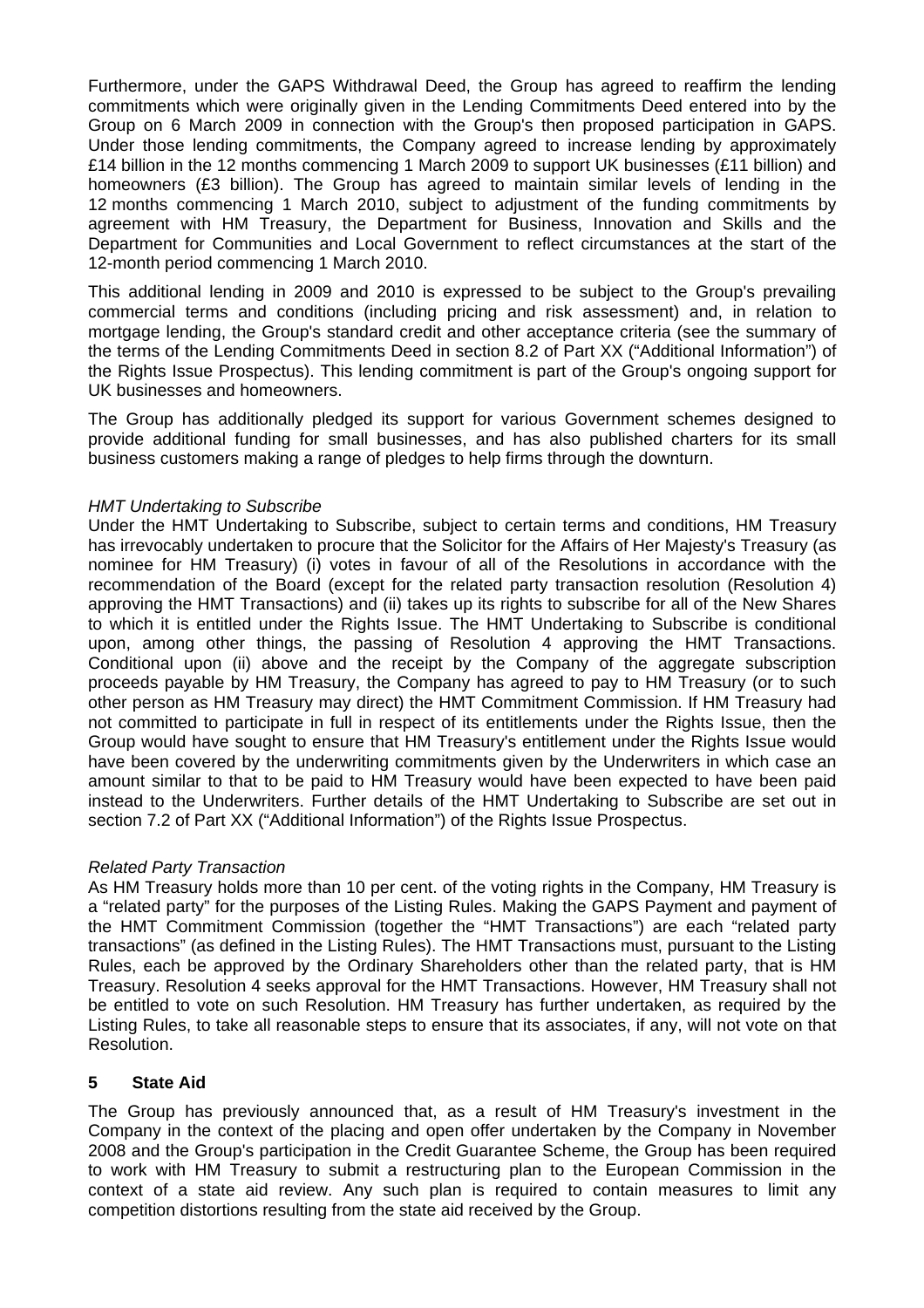Furthermore, under the GAPS Withdrawal Deed, the Group has agreed to reaffirm the lending commitments which were originally given in the Lending Commitments Deed entered into by the Group on 6 March 2009 in connection with the Group's then proposed participation in GAPS. Under those lending commitments, the Company agreed to increase lending by approximately £14 billion in the 12 months commencing 1 March 2009 to support UK businesses (£11 billion) and homeowners (£3 billion). The Group has agreed to maintain similar levels of lending in the 12 months commencing 1 March 2010, subject to adjustment of the funding commitments by agreement with HM Treasury, the Department for Business, Innovation and Skills and the Department for Communities and Local Government to reflect circumstances at the start of the 12-month period commencing 1 March 2010.

This additional lending in 2009 and 2010 is expressed to be subject to the Group's prevailing commercial terms and conditions (including pricing and risk assessment) and, in relation to mortgage lending, the Group's standard credit and other acceptance criteria (see the summary of the terms of the Lending Commitments Deed in section 8.2 of Part XX ("Additional Information") of the Rights Issue Prospectus). This lending commitment is part of the Group's ongoing support for UK businesses and homeowners.

The Group has additionally pledged its support for various Government schemes designed to provide additional funding for small businesses, and has also published charters for its small business customers making a range of pledges to help firms through the downturn.

### *HMT Undertaking to Subscribe*

Under the HMT Undertaking to Subscribe, subject to certain terms and conditions, HM Treasury has irrevocably undertaken to procure that the Solicitor for the Affairs of Her Majesty's Treasury (as nominee for HM Treasury) (i) votes in favour of all of the Resolutions in accordance with the recommendation of the Board (except for the related party transaction resolution (Resolution 4) approving the HMT Transactions) and (ii) takes up its rights to subscribe for all of the New Shares to which it is entitled under the Rights Issue. The HMT Undertaking to Subscribe is conditional upon, among other things, the passing of Resolution 4 approving the HMT Transactions. Conditional upon (ii) above and the receipt by the Company of the aggregate subscription proceeds payable by HM Treasury, the Company has agreed to pay to HM Treasury (or to such other person as HM Treasury may direct) the HMT Commitment Commission. If HM Treasury had not committed to participate in full in respect of its entitlements under the Rights Issue, then the Group would have sought to ensure that HM Treasury's entitlement under the Rights Issue would have been covered by the underwriting commitments given by the Underwriters in which case an amount similar to that to be paid to HM Treasury would have been expected to have been paid instead to the Underwriters. Further details of the HMT Undertaking to Subscribe are set out in section 7.2 of Part XX ("Additional Information") of the Rights Issue Prospectus.

### *Related Party Transaction*

As HM Treasury holds more than 10 per cent. of the voting rights in the Company, HM Treasury is a "related party" for the purposes of the Listing Rules. Making the GAPS Payment and payment of the HMT Commitment Commission (together the "HMT Transactions") are each "related party transactions" (as defined in the Listing Rules). The HMT Transactions must, pursuant to the Listing Rules, each be approved by the Ordinary Shareholders other than the related party, that is HM Treasury. Resolution 4 seeks approval for the HMT Transactions. However, HM Treasury shall not be entitled to vote on such Resolution. HM Treasury has further undertaken, as required by the Listing Rules, to take all reasonable steps to ensure that its associates, if any, will not vote on that Resolution.

### **5 State Aid**

The Group has previously announced that, as a result of HM Treasury's investment in the Company in the context of the placing and open offer undertaken by the Company in November 2008 and the Group's participation in the Credit Guarantee Scheme, the Group has been required to work with HM Treasury to submit a restructuring plan to the European Commission in the context of a state aid review. Any such plan is required to contain measures to limit any competition distortions resulting from the state aid received by the Group.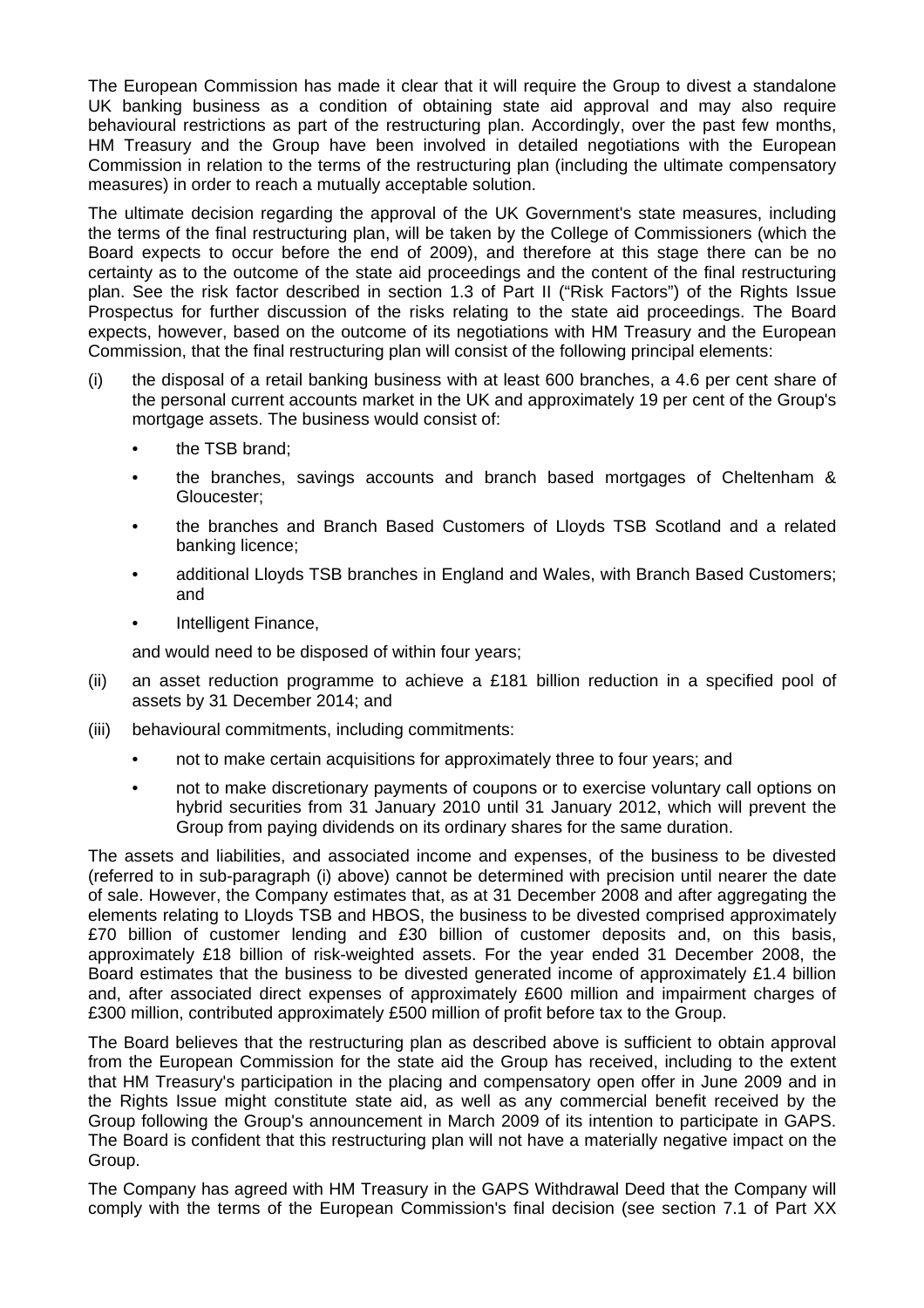The European Commission has made it clear that it will require the Group to divest a standalone UK banking business as a condition of obtaining state aid approval and may also require behavioural restrictions as part of the restructuring plan. Accordingly, over the past few months, HM Treasury and the Group have been involved in detailed negotiations with the European Commission in relation to the terms of the restructuring plan (including the ultimate compensatory measures) in order to reach a mutually acceptable solution.

The ultimate decision regarding the approval of the UK Government's state measures, including the terms of the final restructuring plan, will be taken by the College of Commissioners (which the Board expects to occur before the end of 2009), and therefore at this stage there can be no certainty as to the outcome of the state aid proceedings and the content of the final restructuring plan. See the risk factor described in section 1.3 of Part II ("Risk Factors") of the Rights Issue Prospectus for further discussion of the risks relating to the state aid proceedings. The Board expects, however, based on the outcome of its negotiations with HM Treasury and the European Commission, that the final restructuring plan will consist of the following principal elements:

- (i) the disposal of a retail banking business with at least 600 branches, a 4.6 per cent share of the personal current accounts market in the UK and approximately 19 per cent of the Group's mortgage assets. The business would consist of:
	- the TSB brand;
	- the branches, savings accounts and branch based mortgages of Cheltenham & Gloucester;
	- the branches and Branch Based Customers of Lloyds TSB Scotland and a related banking licence;
	- additional Lloyds TSB branches in England and Wales, with Branch Based Customers; and
	- Intelligent Finance,

and would need to be disposed of within four years;

- (ii) an asset reduction programme to achieve a £181 billion reduction in a specified pool of assets by 31 December 2014; and
- (iii) behavioural commitments, including commitments:
	- not to make certain acquisitions for approximately three to four years; and
	- not to make discretionary payments of coupons or to exercise voluntary call options on hybrid securities from 31 January 2010 until 31 January 2012, which will prevent the Group from paying dividends on its ordinary shares for the same duration.

The assets and liabilities, and associated income and expenses, of the business to be divested (referred to in sub-paragraph (i) above) cannot be determined with precision until nearer the date of sale. However, the Company estimates that, as at 31 December 2008 and after aggregating the elements relating to Lloyds TSB and HBOS, the business to be divested comprised approximately £70 billion of customer lending and £30 billion of customer deposits and, on this basis, approximately £18 billion of risk-weighted assets. For the year ended 31 December 2008, the Board estimates that the business to be divested generated income of approximately £1.4 billion and, after associated direct expenses of approximately £600 million and impairment charges of £300 million, contributed approximately £500 million of profit before tax to the Group.

The Board believes that the restructuring plan as described above is sufficient to obtain approval from the European Commission for the state aid the Group has received, including to the extent that HM Treasury's participation in the placing and compensatory open offer in June 2009 and in the Rights Issue might constitute state aid, as well as any commercial benefit received by the Group following the Group's announcement in March 2009 of its intention to participate in GAPS. The Board is confident that this restructuring plan will not have a materially negative impact on the Group.

The Company has agreed with HM Treasury in the GAPS Withdrawal Deed that the Company will comply with the terms of the European Commission's final decision (see section 7.1 of Part XX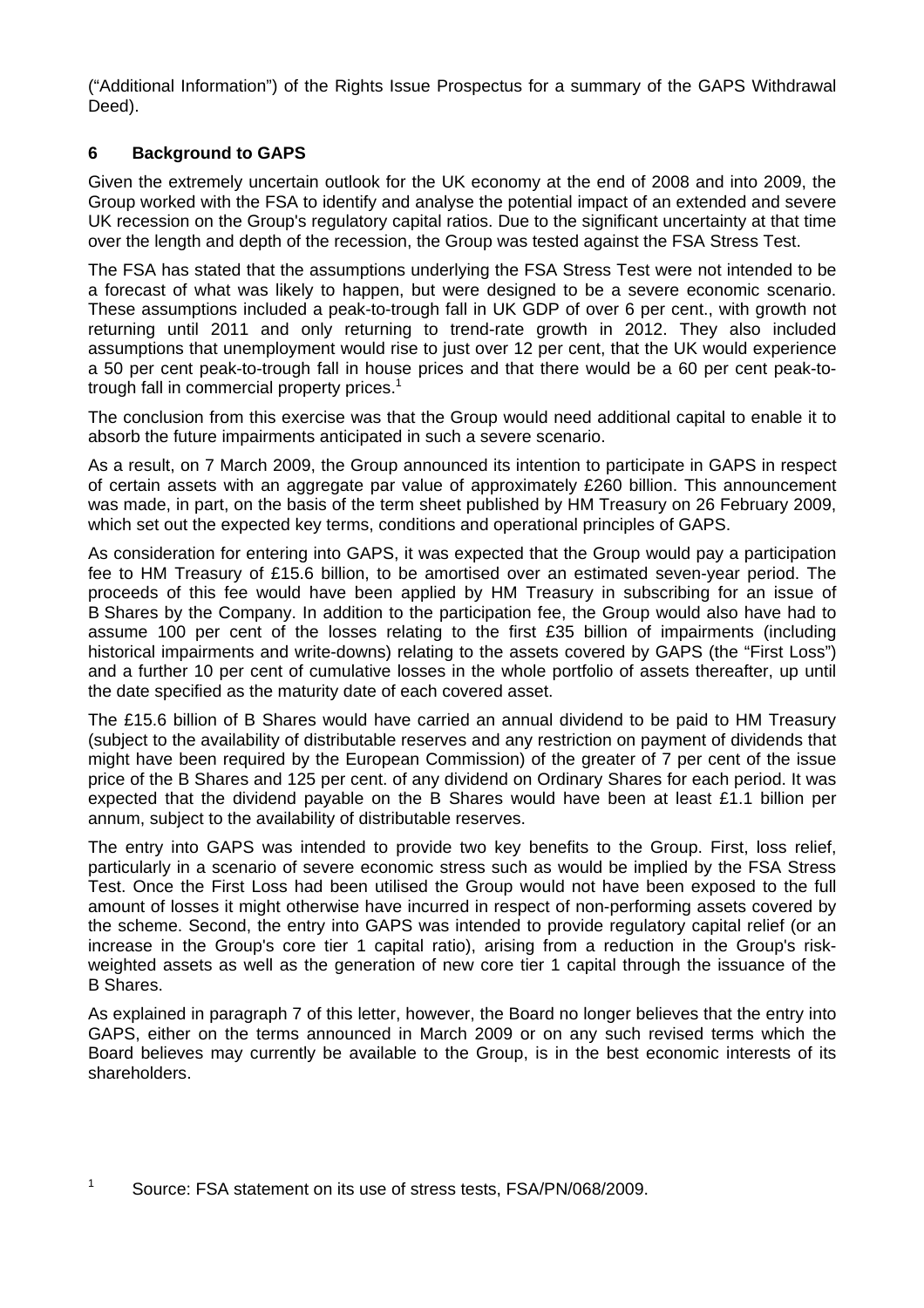("Additional Information") of the Rights Issue Prospectus for a summary of the GAPS Withdrawal Deed).

## **6 Background to GAPS**

Given the extremely uncertain outlook for the UK economy at the end of 2008 and into 2009, the Group worked with the FSA to identify and analyse the potential impact of an extended and severe UK recession on the Group's regulatory capital ratios. Due to the significant uncertainty at that time over the length and depth of the recession, the Group was tested against the FSA Stress Test.

The FSA has stated that the assumptions underlying the FSA Stress Test were not intended to be a forecast of what was likely to happen, but were designed to be a severe economic scenario. These assumptions included a peak-to-trough fall in UK GDP of over 6 per cent., with growth not returning until 2011 and only returning to trend-rate growth in 2012. They also included assumptions that unemployment would rise to just over 12 per cent, that the UK would experience a 50 per cent peak-to-trough fall in house prices and that there would be a 60 per cent peak-totrough fall in commercial property prices.<sup>1</sup>

The conclusion from this exercise was that the Group would need additional capital to enable it to absorb the future impairments anticipated in such a severe scenario.

As a result, on 7 March 2009, the Group announced its intention to participate in GAPS in respect of certain assets with an aggregate par value of approximately £260 billion. This announcement was made, in part, on the basis of the term sheet published by HM Treasury on 26 February 2009, which set out the expected key terms, conditions and operational principles of GAPS.

As consideration for entering into GAPS, it was expected that the Group would pay a participation fee to HM Treasury of £15.6 billion, to be amortised over an estimated seven-year period. The proceeds of this fee would have been applied by HM Treasury in subscribing for an issue of B Shares by the Company. In addition to the participation fee, the Group would also have had to assume 100 per cent of the losses relating to the first £35 billion of impairments (including historical impairments and write-downs) relating to the assets covered by GAPS (the "First Loss") and a further 10 per cent of cumulative losses in the whole portfolio of assets thereafter, up until the date specified as the maturity date of each covered asset.

The £15.6 billion of B Shares would have carried an annual dividend to be paid to HM Treasury (subject to the availability of distributable reserves and any restriction on payment of dividends that might have been required by the European Commission) of the greater of 7 per cent of the issue price of the B Shares and 125 per cent. of any dividend on Ordinary Shares for each period. It was expected that the dividend payable on the B Shares would have been at least £1.1 billion per annum, subject to the availability of distributable reserves.

The entry into GAPS was intended to provide two key benefits to the Group. First, loss relief, particularly in a scenario of severe economic stress such as would be implied by the FSA Stress Test. Once the First Loss had been utilised the Group would not have been exposed to the full amount of losses it might otherwise have incurred in respect of non-performing assets covered by the scheme. Second, the entry into GAPS was intended to provide regulatory capital relief (or an increase in the Group's core tier 1 capital ratio), arising from a reduction in the Group's riskweighted assets as well as the generation of new core tier 1 capital through the issuance of the B Shares.

As explained in paragraph 7 of this letter, however, the Board no longer believes that the entry into GAPS, either on the terms announced in March 2009 or on any such revised terms which the Board believes may currently be available to the Group, is in the best economic interests of its shareholders.

1 Source: FSA statement on its use of stress tests, FSA/PN/068/2009.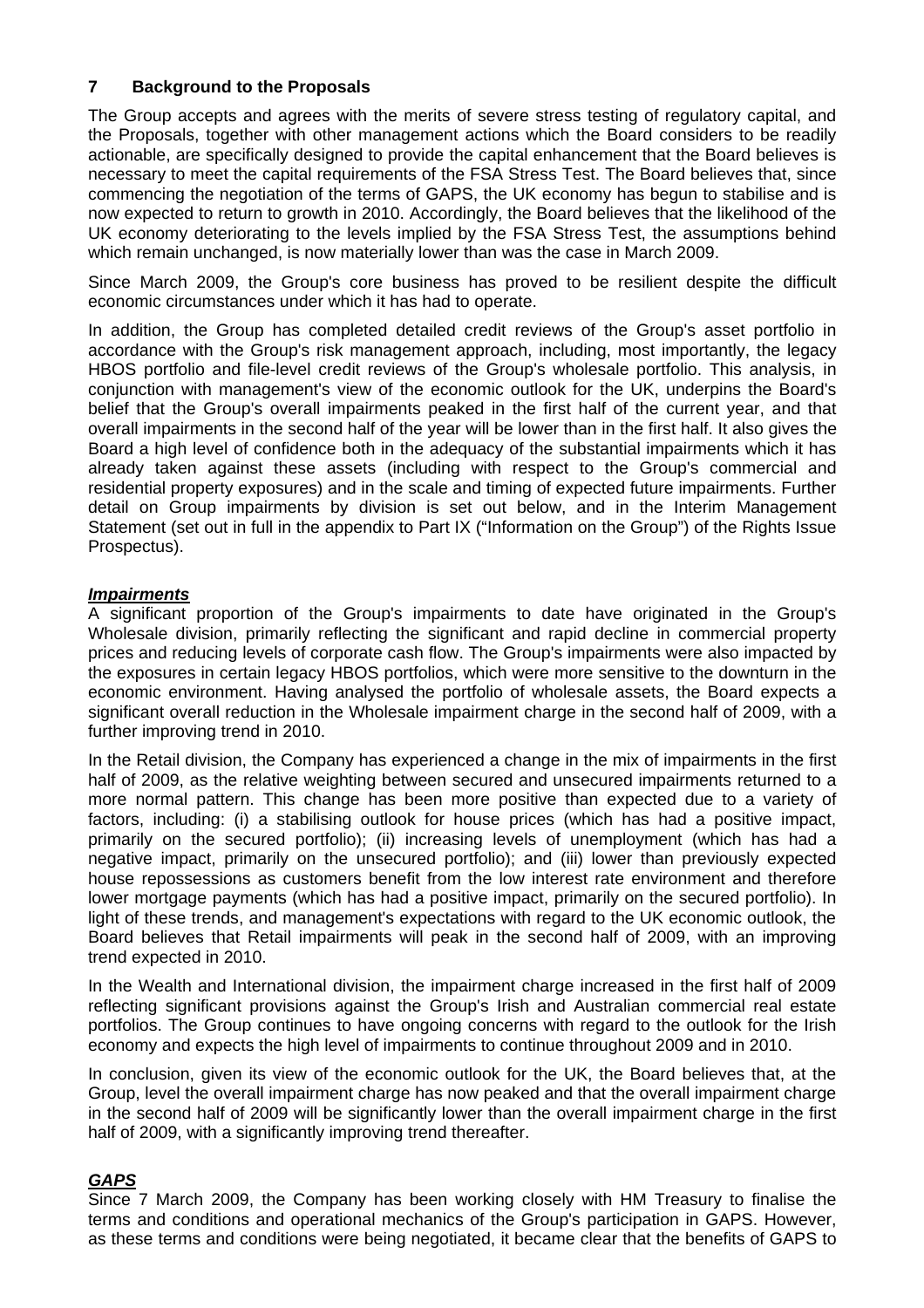### **7 Background to the Proposals**

The Group accepts and agrees with the merits of severe stress testing of regulatory capital, and the Proposals, together with other management actions which the Board considers to be readily actionable, are specifically designed to provide the capital enhancement that the Board believes is necessary to meet the capital requirements of the FSA Stress Test. The Board believes that, since commencing the negotiation of the terms of GAPS, the UK economy has begun to stabilise and is now expected to return to growth in 2010. Accordingly, the Board believes that the likelihood of the UK economy deteriorating to the levels implied by the FSA Stress Test, the assumptions behind which remain unchanged, is now materially lower than was the case in March 2009.

Since March 2009, the Group's core business has proved to be resilient despite the difficult economic circumstances under which it has had to operate.

In addition, the Group has completed detailed credit reviews of the Group's asset portfolio in accordance with the Group's risk management approach, including, most importantly, the legacy HBOS portfolio and file-level credit reviews of the Group's wholesale portfolio. This analysis, in conjunction with management's view of the economic outlook for the UK, underpins the Board's belief that the Group's overall impairments peaked in the first half of the current year, and that overall impairments in the second half of the year will be lower than in the first half. It also gives the Board a high level of confidence both in the adequacy of the substantial impairments which it has already taken against these assets (including with respect to the Group's commercial and residential property exposures) and in the scale and timing of expected future impairments. Further detail on Group impairments by division is set out below, and in the Interim Management Statement (set out in full in the appendix to Part IX ("Information on the Group") of the Rights Issue Prospectus).

### *Impairments*

A significant proportion of the Group's impairments to date have originated in the Group's Wholesale division, primarily reflecting the significant and rapid decline in commercial property prices and reducing levels of corporate cash flow. The Group's impairments were also impacted by the exposures in certain legacy HBOS portfolios, which were more sensitive to the downturn in the economic environment. Having analysed the portfolio of wholesale assets, the Board expects a significant overall reduction in the Wholesale impairment charge in the second half of 2009, with a further improving trend in 2010.

In the Retail division, the Company has experienced a change in the mix of impairments in the first half of 2009, as the relative weighting between secured and unsecured impairments returned to a more normal pattern. This change has been more positive than expected due to a variety of factors, including: (i) a stabilising outlook for house prices (which has had a positive impact, primarily on the secured portfolio); (ii) increasing levels of unemployment (which has had a negative impact, primarily on the unsecured portfolio); and (iii) lower than previously expected house repossessions as customers benefit from the low interest rate environment and therefore lower mortgage payments (which has had a positive impact, primarily on the secured portfolio). In light of these trends, and management's expectations with regard to the UK economic outlook, the Board believes that Retail impairments will peak in the second half of 2009, with an improving trend expected in 2010.

In the Wealth and International division, the impairment charge increased in the first half of 2009 reflecting significant provisions against the Group's Irish and Australian commercial real estate portfolios. The Group continues to have ongoing concerns with regard to the outlook for the Irish economy and expects the high level of impairments to continue throughout 2009 and in 2010.

In conclusion, given its view of the economic outlook for the UK, the Board believes that, at the Group, level the overall impairment charge has now peaked and that the overall impairment charge in the second half of 2009 will be significantly lower than the overall impairment charge in the first half of 2009, with a significantly improving trend thereafter.

### *GAPS*

Since 7 March 2009, the Company has been working closely with HM Treasury to finalise the terms and conditions and operational mechanics of the Group's participation in GAPS. However, as these terms and conditions were being negotiated, it became clear that the benefits of GAPS to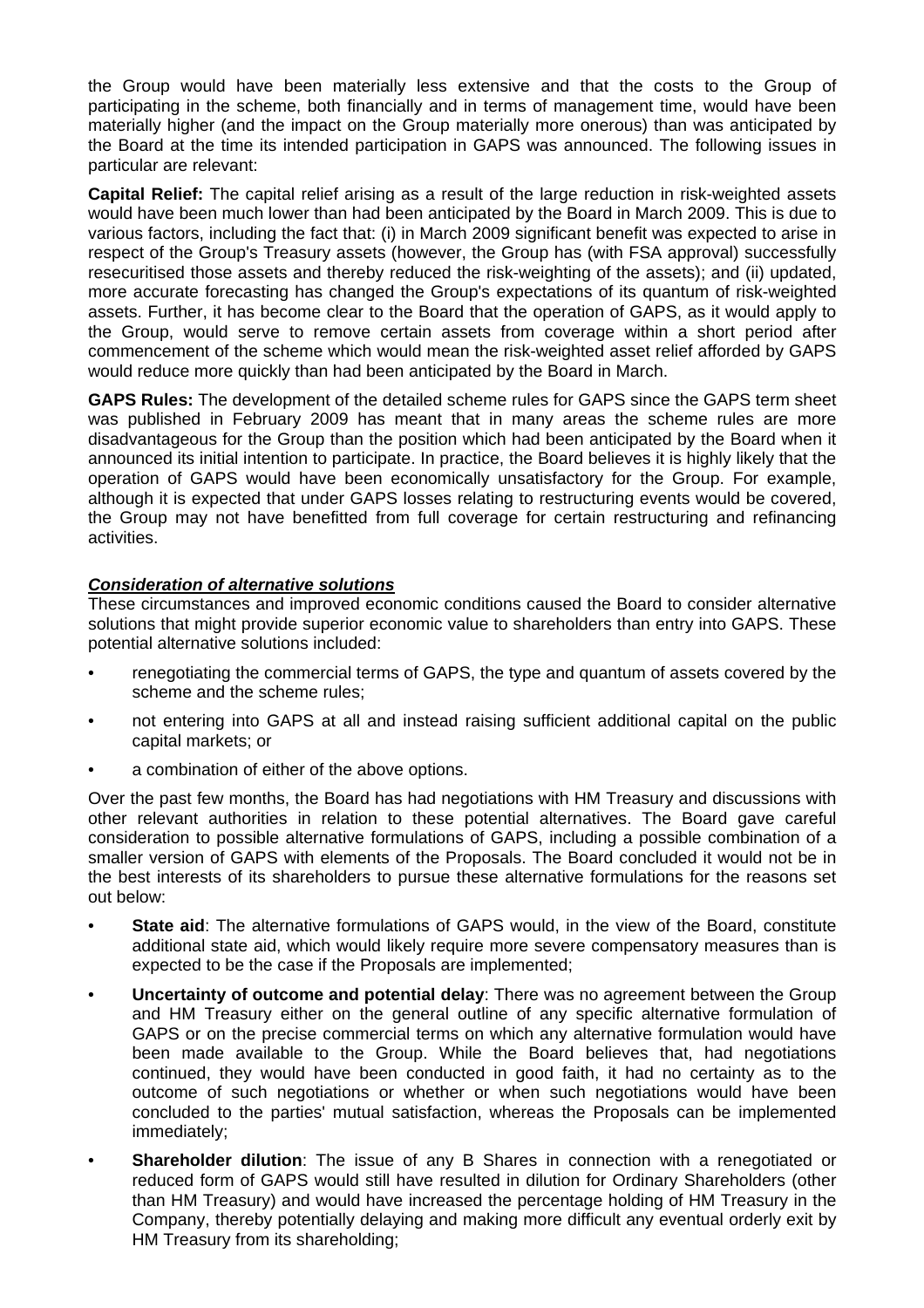the Group would have been materially less extensive and that the costs to the Group of participating in the scheme, both financially and in terms of management time, would have been materially higher (and the impact on the Group materially more onerous) than was anticipated by the Board at the time its intended participation in GAPS was announced. The following issues in particular are relevant:

**Capital Relief:** The capital relief arising as a result of the large reduction in risk-weighted assets would have been much lower than had been anticipated by the Board in March 2009. This is due to various factors, including the fact that: (i) in March 2009 significant benefit was expected to arise in respect of the Group's Treasury assets (however, the Group has (with FSA approval) successfully resecuritised those assets and thereby reduced the risk-weighting of the assets); and (ii) updated, more accurate forecasting has changed the Group's expectations of its quantum of risk-weighted assets. Further, it has become clear to the Board that the operation of GAPS, as it would apply to the Group, would serve to remove certain assets from coverage within a short period after commencement of the scheme which would mean the risk-weighted asset relief afforded by GAPS would reduce more quickly than had been anticipated by the Board in March.

**GAPS Rules:** The development of the detailed scheme rules for GAPS since the GAPS term sheet was published in February 2009 has meant that in many areas the scheme rules are more disadvantageous for the Group than the position which had been anticipated by the Board when it announced its initial intention to participate. In practice, the Board believes it is highly likely that the operation of GAPS would have been economically unsatisfactory for the Group. For example, although it is expected that under GAPS losses relating to restructuring events would be covered, the Group may not have benefitted from full coverage for certain restructuring and refinancing activities.

## *Consideration of alternative solutions*

These circumstances and improved economic conditions caused the Board to consider alternative solutions that might provide superior economic value to shareholders than entry into GAPS. These potential alternative solutions included:

- renegotiating the commercial terms of GAPS, the type and quantum of assets covered by the scheme and the scheme rules;
- not entering into GAPS at all and instead raising sufficient additional capital on the public capital markets; or
- a combination of either of the above options.

Over the past few months, the Board has had negotiations with HM Treasury and discussions with other relevant authorities in relation to these potential alternatives. The Board gave careful consideration to possible alternative formulations of GAPS, including a possible combination of a smaller version of GAPS with elements of the Proposals. The Board concluded it would not be in the best interests of its shareholders to pursue these alternative formulations for the reasons set out below:

- **State aid:** The alternative formulations of GAPS would, in the view of the Board, constitute additional state aid, which would likely require more severe compensatory measures than is expected to be the case if the Proposals are implemented;
- **Uncertainty of outcome and potential delay**: There was no agreement between the Group and HM Treasury either on the general outline of any specific alternative formulation of GAPS or on the precise commercial terms on which any alternative formulation would have been made available to the Group. While the Board believes that, had negotiations continued, they would have been conducted in good faith, it had no certainty as to the outcome of such negotiations or whether or when such negotiations would have been concluded to the parties' mutual satisfaction, whereas the Proposals can be implemented immediately;
- **Shareholder dilution**: The issue of any B Shares in connection with a renegotiated or reduced form of GAPS would still have resulted in dilution for Ordinary Shareholders (other than HM Treasury) and would have increased the percentage holding of HM Treasury in the Company, thereby potentially delaying and making more difficult any eventual orderly exit by HM Treasury from its shareholding;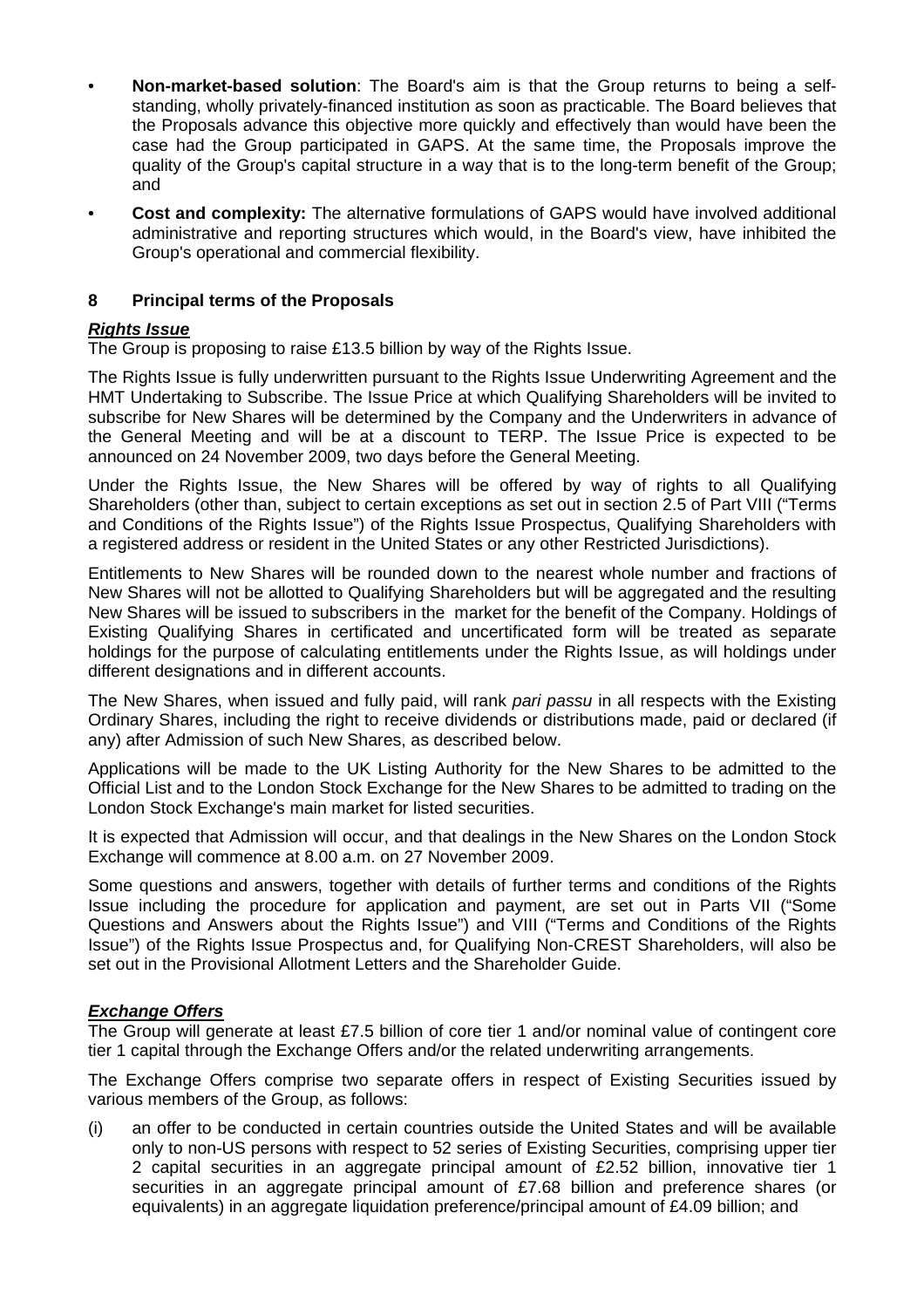- **Non-market-based solution**: The Board's aim is that the Group returns to being a selfstanding, wholly privately-financed institution as soon as practicable. The Board believes that the Proposals advance this objective more quickly and effectively than would have been the case had the Group participated in GAPS. At the same time, the Proposals improve the quality of the Group's capital structure in a way that is to the long-term benefit of the Group; and
- **Cost and complexity:** The alternative formulations of GAPS would have involved additional administrative and reporting structures which would, in the Board's view, have inhibited the Group's operational and commercial flexibility.

## **8 Principal terms of the Proposals**

## *Rights Issue*

The Group is proposing to raise £13.5 billion by way of the Rights Issue.

The Rights Issue is fully underwritten pursuant to the Rights Issue Underwriting Agreement and the HMT Undertaking to Subscribe. The Issue Price at which Qualifying Shareholders will be invited to subscribe for New Shares will be determined by the Company and the Underwriters in advance of the General Meeting and will be at a discount to TERP. The Issue Price is expected to be announced on 24 November 2009, two days before the General Meeting.

Under the Rights Issue, the New Shares will be offered by way of rights to all Qualifying Shareholders (other than, subject to certain exceptions as set out in section 2.5 of Part VIII ("Terms and Conditions of the Rights Issue") of the Rights Issue Prospectus, Qualifying Shareholders with a registered address or resident in the United States or any other Restricted Jurisdictions).

Entitlements to New Shares will be rounded down to the nearest whole number and fractions of New Shares will not be allotted to Qualifying Shareholders but will be aggregated and the resulting New Shares will be issued to subscribers in the market for the benefit of the Company. Holdings of Existing Qualifying Shares in certificated and uncertificated form will be treated as separate holdings for the purpose of calculating entitlements under the Rights Issue, as will holdings under different designations and in different accounts.

The New Shares, when issued and fully paid, will rank *pari passu* in all respects with the Existing Ordinary Shares, including the right to receive dividends or distributions made, paid or declared (if any) after Admission of such New Shares, as described below.

Applications will be made to the UK Listing Authority for the New Shares to be admitted to the Official List and to the London Stock Exchange for the New Shares to be admitted to trading on the London Stock Exchange's main market for listed securities.

It is expected that Admission will occur, and that dealings in the New Shares on the London Stock Exchange will commence at 8.00 a.m. on 27 November 2009.

Some questions and answers, together with details of further terms and conditions of the Rights Issue including the procedure for application and payment, are set out in Parts VII ("Some Questions and Answers about the Rights Issue") and VIII ("Terms and Conditions of the Rights Issue") of the Rights Issue Prospectus and, for Qualifying Non-CREST Shareholders, will also be set out in the Provisional Allotment Letters and the Shareholder Guide.

### *Exchange Offers*

The Group will generate at least £7.5 billion of core tier 1 and/or nominal value of contingent core tier 1 capital through the Exchange Offers and/or the related underwriting arrangements.

The Exchange Offers comprise two separate offers in respect of Existing Securities issued by various members of the Group, as follows:

(i) an offer to be conducted in certain countries outside the United States and will be available only to non-US persons with respect to 52 series of Existing Securities, comprising upper tier 2 capital securities in an aggregate principal amount of £2.52 billion, innovative tier 1 securities in an aggregate principal amount of £7.68 billion and preference shares (or equivalents) in an aggregate liquidation preference/principal amount of £4.09 billion; and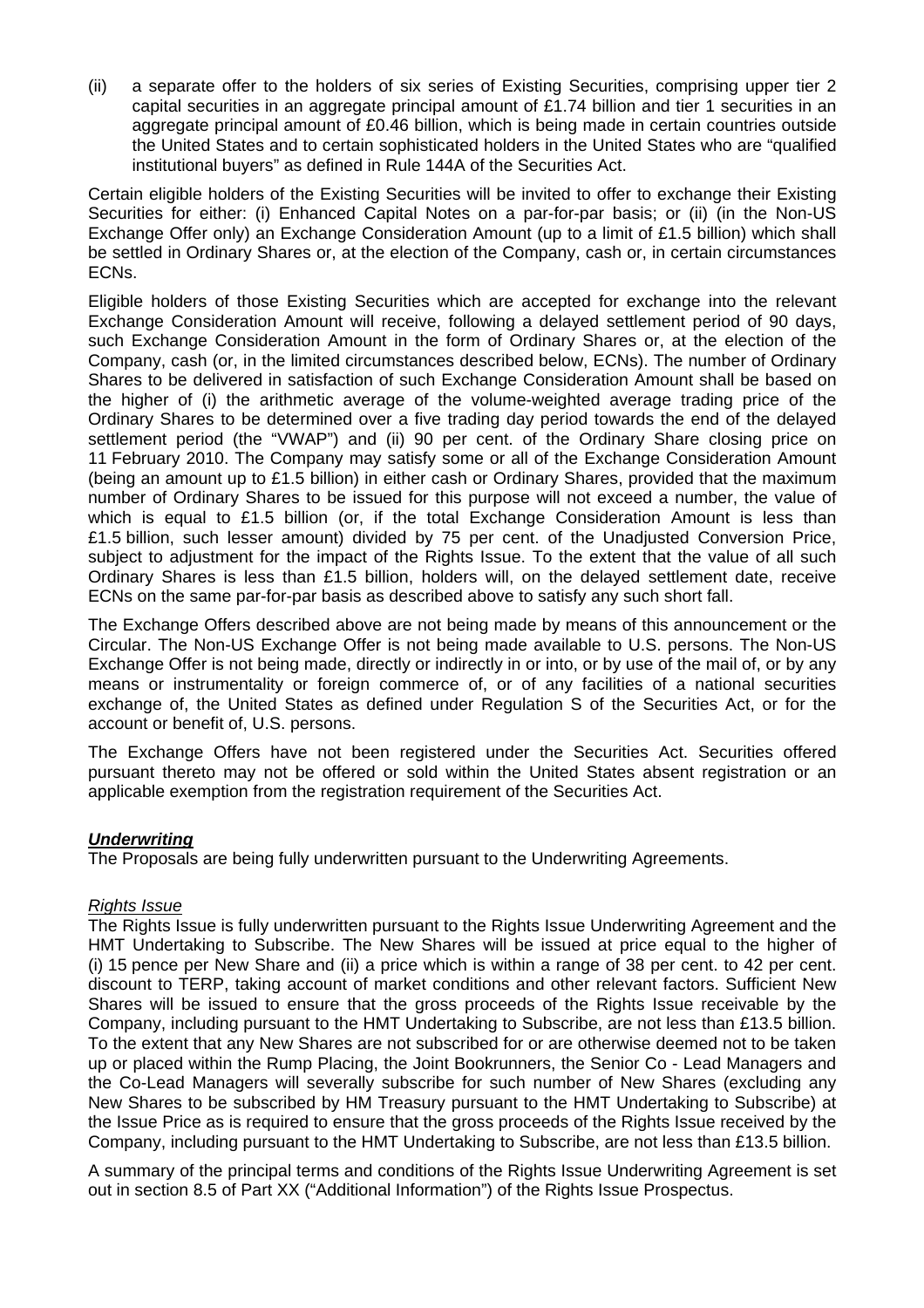(ii) a separate offer to the holders of six series of Existing Securities, comprising upper tier 2 capital securities in an aggregate principal amount of £1.74 billion and tier 1 securities in an aggregate principal amount of £0.46 billion, which is being made in certain countries outside the United States and to certain sophisticated holders in the United States who are "qualified institutional buyers" as defined in Rule 144A of the Securities Act.

Certain eligible holders of the Existing Securities will be invited to offer to exchange their Existing Securities for either: (i) Enhanced Capital Notes on a par-for-par basis; or (ii) (in the Non-US Exchange Offer only) an Exchange Consideration Amount (up to a limit of £1.5 billion) which shall be settled in Ordinary Shares or, at the election of the Company, cash or, in certain circumstances ECNs.

Eligible holders of those Existing Securities which are accepted for exchange into the relevant Exchange Consideration Amount will receive, following a delayed settlement period of 90 days, such Exchange Consideration Amount in the form of Ordinary Shares or, at the election of the Company, cash (or, in the limited circumstances described below, ECNs). The number of Ordinary Shares to be delivered in satisfaction of such Exchange Consideration Amount shall be based on the higher of (i) the arithmetic average of the volume-weighted average trading price of the Ordinary Shares to be determined over a five trading day period towards the end of the delayed settlement period (the "VWAP") and (ii) 90 per cent. of the Ordinary Share closing price on 11 February 2010. The Company may satisfy some or all of the Exchange Consideration Amount (being an amount up to £1.5 billion) in either cash or Ordinary Shares, provided that the maximum number of Ordinary Shares to be issued for this purpose will not exceed a number, the value of which is equal to £1.5 billion (or, if the total Exchange Consideration Amount is less than £1.5 billion, such lesser amount) divided by 75 per cent. of the Unadjusted Conversion Price, subject to adjustment for the impact of the Rights Issue. To the extent that the value of all such Ordinary Shares is less than £1.5 billion, holders will, on the delayed settlement date, receive ECNs on the same par-for-par basis as described above to satisfy any such short fall.

The Exchange Offers described above are not being made by means of this announcement or the Circular. The Non-US Exchange Offer is not being made available to U.S. persons. The Non-US Exchange Offer is not being made, directly or indirectly in or into, or by use of the mail of, or by any means or instrumentality or foreign commerce of, or of any facilities of a national securities exchange of, the United States as defined under Regulation S of the Securities Act, or for the account or benefit of, U.S. persons.

The Exchange Offers have not been registered under the Securities Act. Securities offered pursuant thereto may not be offered or sold within the United States absent registration or an applicable exemption from the registration requirement of the Securities Act.

### *Underwriting*

The Proposals are being fully underwritten pursuant to the Underwriting Agreements.

#### *Rights Issue*

The Rights Issue is fully underwritten pursuant to the Rights Issue Underwriting Agreement and the HMT Undertaking to Subscribe. The New Shares will be issued at price equal to the higher of (i) 15 pence per New Share and (ii) a price which is within a range of 38 per cent. to 42 per cent. discount to TERP, taking account of market conditions and other relevant factors. Sufficient New Shares will be issued to ensure that the gross proceeds of the Rights Issue receivable by the Company, including pursuant to the HMT Undertaking to Subscribe, are not less than £13.5 billion. To the extent that any New Shares are not subscribed for or are otherwise deemed not to be taken up or placed within the Rump Placing, the Joint Bookrunners, the Senior Co - Lead Managers and the Co-Lead Managers will severally subscribe for such number of New Shares (excluding any New Shares to be subscribed by HM Treasury pursuant to the HMT Undertaking to Subscribe) at the Issue Price as is required to ensure that the gross proceeds of the Rights Issue received by the Company, including pursuant to the HMT Undertaking to Subscribe, are not less than £13.5 billion.

A summary of the principal terms and conditions of the Rights Issue Underwriting Agreement is set out in section 8.5 of Part XX ("Additional Information") of the Rights Issue Prospectus.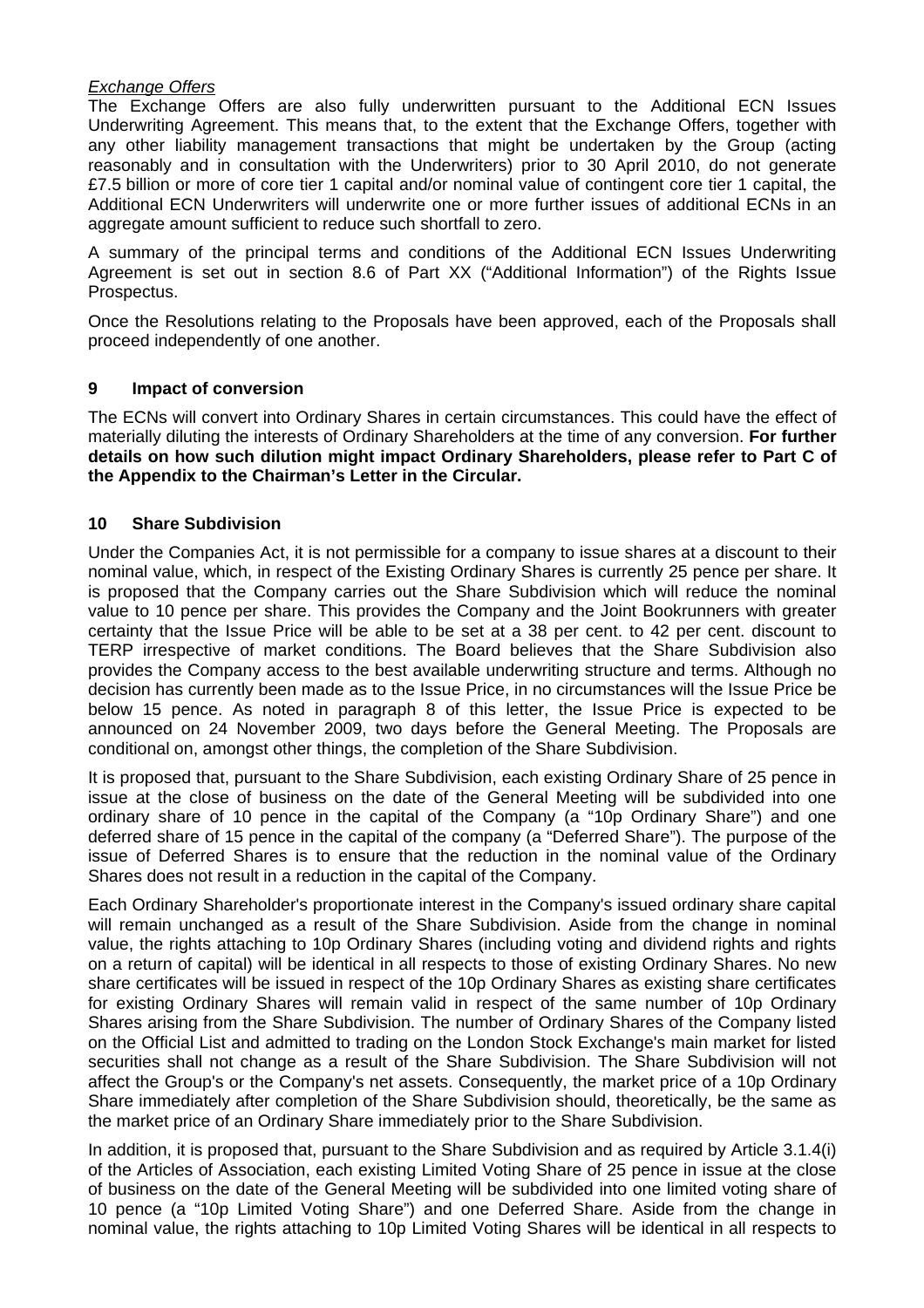### *Exchange Offers*

The Exchange Offers are also fully underwritten pursuant to the Additional ECN Issues Underwriting Agreement. This means that, to the extent that the Exchange Offers, together with any other liability management transactions that might be undertaken by the Group (acting reasonably and in consultation with the Underwriters) prior to 30 April 2010, do not generate £7.5 billion or more of core tier 1 capital and/or nominal value of contingent core tier 1 capital, the Additional ECN Underwriters will underwrite one or more further issues of additional ECNs in an aggregate amount sufficient to reduce such shortfall to zero.

A summary of the principal terms and conditions of the Additional ECN Issues Underwriting Agreement is set out in section 8.6 of Part XX ("Additional Information") of the Rights Issue Prospectus.

Once the Resolutions relating to the Proposals have been approved, each of the Proposals shall proceed independently of one another.

#### **9 Impact of conversion**

The ECNs will convert into Ordinary Shares in certain circumstances. This could have the effect of materially diluting the interests of Ordinary Shareholders at the time of any conversion. **For further details on how such dilution might impact Ordinary Shareholders, please refer to Part C of the Appendix to the Chairman's Letter in the Circular.** 

#### **10 Share Subdivision**

Under the Companies Act, it is not permissible for a company to issue shares at a discount to their nominal value, which, in respect of the Existing Ordinary Shares is currently 25 pence per share. It is proposed that the Company carries out the Share Subdivision which will reduce the nominal value to 10 pence per share. This provides the Company and the Joint Bookrunners with greater certainty that the Issue Price will be able to be set at a 38 per cent. to 42 per cent. discount to TERP irrespective of market conditions. The Board believes that the Share Subdivision also provides the Company access to the best available underwriting structure and terms. Although no decision has currently been made as to the Issue Price, in no circumstances will the Issue Price be below 15 pence. As noted in paragraph 8 of this letter, the Issue Price is expected to be announced on 24 November 2009, two days before the General Meeting. The Proposals are conditional on, amongst other things, the completion of the Share Subdivision.

It is proposed that, pursuant to the Share Subdivision, each existing Ordinary Share of 25 pence in issue at the close of business on the date of the General Meeting will be subdivided into one ordinary share of 10 pence in the capital of the Company (a "10p Ordinary Share") and one deferred share of 15 pence in the capital of the company (a "Deferred Share"). The purpose of the issue of Deferred Shares is to ensure that the reduction in the nominal value of the Ordinary Shares does not result in a reduction in the capital of the Company.

Each Ordinary Shareholder's proportionate interest in the Company's issued ordinary share capital will remain unchanged as a result of the Share Subdivision. Aside from the change in nominal value, the rights attaching to 10p Ordinary Shares (including voting and dividend rights and rights on a return of capital) will be identical in all respects to those of existing Ordinary Shares. No new share certificates will be issued in respect of the 10p Ordinary Shares as existing share certificates for existing Ordinary Shares will remain valid in respect of the same number of 10p Ordinary Shares arising from the Share Subdivision. The number of Ordinary Shares of the Company listed on the Official List and admitted to trading on the London Stock Exchange's main market for listed securities shall not change as a result of the Share Subdivision. The Share Subdivision will not affect the Group's or the Company's net assets. Consequently, the market price of a 10p Ordinary Share immediately after completion of the Share Subdivision should, theoretically, be the same as the market price of an Ordinary Share immediately prior to the Share Subdivision.

In addition, it is proposed that, pursuant to the Share Subdivision and as required by Article 3.1.4(i) of the Articles of Association, each existing Limited Voting Share of 25 pence in issue at the close of business on the date of the General Meeting will be subdivided into one limited voting share of 10 pence (a "10p Limited Voting Share") and one Deferred Share. Aside from the change in nominal value, the rights attaching to 10p Limited Voting Shares will be identical in all respects to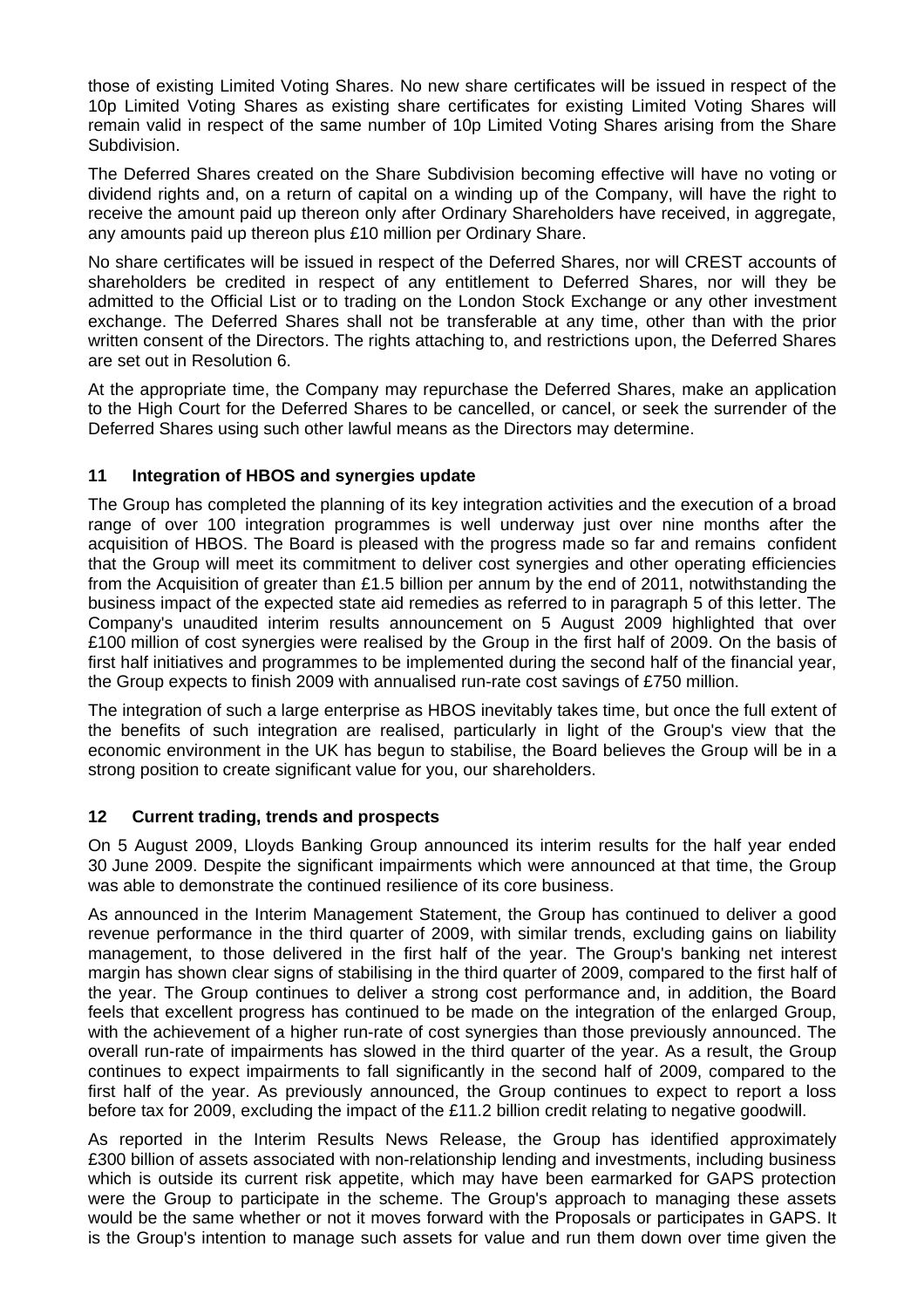those of existing Limited Voting Shares. No new share certificates will be issued in respect of the 10p Limited Voting Shares as existing share certificates for existing Limited Voting Shares will remain valid in respect of the same number of 10p Limited Voting Shares arising from the Share Subdivision.

The Deferred Shares created on the Share Subdivision becoming effective will have no voting or dividend rights and, on a return of capital on a winding up of the Company, will have the right to receive the amount paid up thereon only after Ordinary Shareholders have received, in aggregate, any amounts paid up thereon plus £10 million per Ordinary Share.

No share certificates will be issued in respect of the Deferred Shares, nor will CREST accounts of shareholders be credited in respect of any entitlement to Deferred Shares, nor will they be admitted to the Official List or to trading on the London Stock Exchange or any other investment exchange. The Deferred Shares shall not be transferable at any time, other than with the prior written consent of the Directors. The rights attaching to, and restrictions upon, the Deferred Shares are set out in Resolution 6.

At the appropriate time, the Company may repurchase the Deferred Shares, make an application to the High Court for the Deferred Shares to be cancelled, or cancel, or seek the surrender of the Deferred Shares using such other lawful means as the Directors may determine.

# **11 Integration of HBOS and synergies update**

The Group has completed the planning of its key integration activities and the execution of a broad range of over 100 integration programmes is well underway just over nine months after the acquisition of HBOS. The Board is pleased with the progress made so far and remains confident that the Group will meet its commitment to deliver cost synergies and other operating efficiencies from the Acquisition of greater than £1.5 billion per annum by the end of 2011, notwithstanding the business impact of the expected state aid remedies as referred to in paragraph 5 of this letter. The Company's unaudited interim results announcement on 5 August 2009 highlighted that over £100 million of cost synergies were realised by the Group in the first half of 2009. On the basis of first half initiatives and programmes to be implemented during the second half of the financial year, the Group expects to finish 2009 with annualised run-rate cost savings of £750 million.

The integration of such a large enterprise as HBOS inevitably takes time, but once the full extent of the benefits of such integration are realised, particularly in light of the Group's view that the economic environment in the UK has begun to stabilise, the Board believes the Group will be in a strong position to create significant value for you, our shareholders.

# **12 Current trading, trends and prospects**

On 5 August 2009, Lloyds Banking Group announced its interim results for the half year ended 30 June 2009. Despite the significant impairments which were announced at that time, the Group was able to demonstrate the continued resilience of its core business.

As announced in the Interim Management Statement, the Group has continued to deliver a good revenue performance in the third quarter of 2009, with similar trends, excluding gains on liability management, to those delivered in the first half of the year. The Group's banking net interest margin has shown clear signs of stabilising in the third quarter of 2009, compared to the first half of the year. The Group continues to deliver a strong cost performance and, in addition, the Board feels that excellent progress has continued to be made on the integration of the enlarged Group, with the achievement of a higher run-rate of cost synergies than those previously announced. The overall run-rate of impairments has slowed in the third quarter of the year. As a result, the Group continues to expect impairments to fall significantly in the second half of 2009, compared to the first half of the year. As previously announced, the Group continues to expect to report a loss before tax for 2009, excluding the impact of the £11.2 billion credit relating to negative goodwill.

As reported in the Interim Results News Release, the Group has identified approximately £300 billion of assets associated with non-relationship lending and investments, including business which is outside its current risk appetite, which may have been earmarked for GAPS protection were the Group to participate in the scheme. The Group's approach to managing these assets would be the same whether or not it moves forward with the Proposals or participates in GAPS. It is the Group's intention to manage such assets for value and run them down over time given the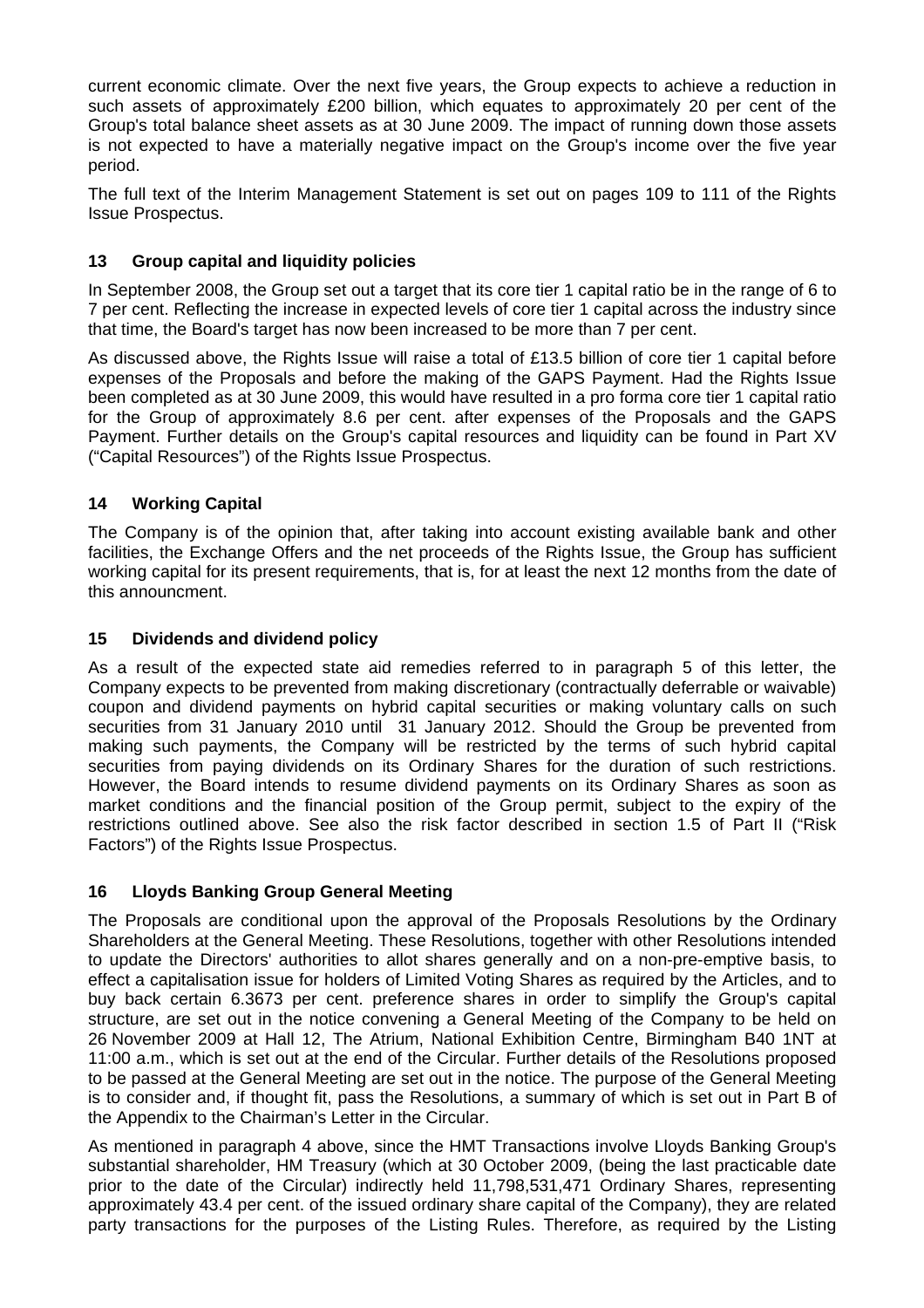current economic climate. Over the next five years, the Group expects to achieve a reduction in such assets of approximately £200 billion, which equates to approximately 20 per cent of the Group's total balance sheet assets as at 30 June 2009. The impact of running down those assets is not expected to have a materially negative impact on the Group's income over the five year period.

The full text of the Interim Management Statement is set out on pages 109 to 111 of the Rights Issue Prospectus.

## **13 Group capital and liquidity policies**

In September 2008, the Group set out a target that its core tier 1 capital ratio be in the range of 6 to 7 per cent. Reflecting the increase in expected levels of core tier 1 capital across the industry since that time, the Board's target has now been increased to be more than 7 per cent.

As discussed above, the Rights Issue will raise a total of £13.5 billion of core tier 1 capital before expenses of the Proposals and before the making of the GAPS Payment. Had the Rights Issue been completed as at 30 June 2009, this would have resulted in a pro forma core tier 1 capital ratio for the Group of approximately 8.6 per cent. after expenses of the Proposals and the GAPS Payment. Further details on the Group's capital resources and liquidity can be found in Part XV ("Capital Resources") of the Rights Issue Prospectus.

### **14 Working Capital**

The Company is of the opinion that, after taking into account existing available bank and other facilities, the Exchange Offers and the net proceeds of the Rights Issue, the Group has sufficient working capital for its present requirements, that is, for at least the next 12 months from the date of this announcment.

### **15 Dividends and dividend policy**

As a result of the expected state aid remedies referred to in paragraph 5 of this letter, the Company expects to be prevented from making discretionary (contractually deferrable or waivable) coupon and dividend payments on hybrid capital securities or making voluntary calls on such securities from 31 January 2010 until 31 January 2012. Should the Group be prevented from making such payments, the Company will be restricted by the terms of such hybrid capital securities from paying dividends on its Ordinary Shares for the duration of such restrictions. However, the Board intends to resume dividend payments on its Ordinary Shares as soon as market conditions and the financial position of the Group permit, subject to the expiry of the restrictions outlined above. See also the risk factor described in section 1.5 of Part II ("Risk Factors") of the Rights Issue Prospectus.

### **16 Lloyds Banking Group General Meeting**

The Proposals are conditional upon the approval of the Proposals Resolutions by the Ordinary Shareholders at the General Meeting. These Resolutions, together with other Resolutions intended to update the Directors' authorities to allot shares generally and on a non-pre-emptive basis, to effect a capitalisation issue for holders of Limited Voting Shares as required by the Articles, and to buy back certain 6.3673 per cent. preference shares in order to simplify the Group's capital structure, are set out in the notice convening a General Meeting of the Company to be held on 26 November 2009 at Hall 12, The Atrium, National Exhibition Centre, Birmingham B40 1NT at 11:00 a.m., which is set out at the end of the Circular. Further details of the Resolutions proposed to be passed at the General Meeting are set out in the notice. The purpose of the General Meeting is to consider and, if thought fit, pass the Resolutions, a summary of which is set out in Part B of the Appendix to the Chairman's Letter in the Circular.

As mentioned in paragraph 4 above, since the HMT Transactions involve Lloyds Banking Group's substantial shareholder, HM Treasury (which at 30 October 2009, (being the last practicable date prior to the date of the Circular) indirectly held 11,798,531,471 Ordinary Shares, representing approximately 43.4 per cent. of the issued ordinary share capital of the Company), they are related party transactions for the purposes of the Listing Rules. Therefore, as required by the Listing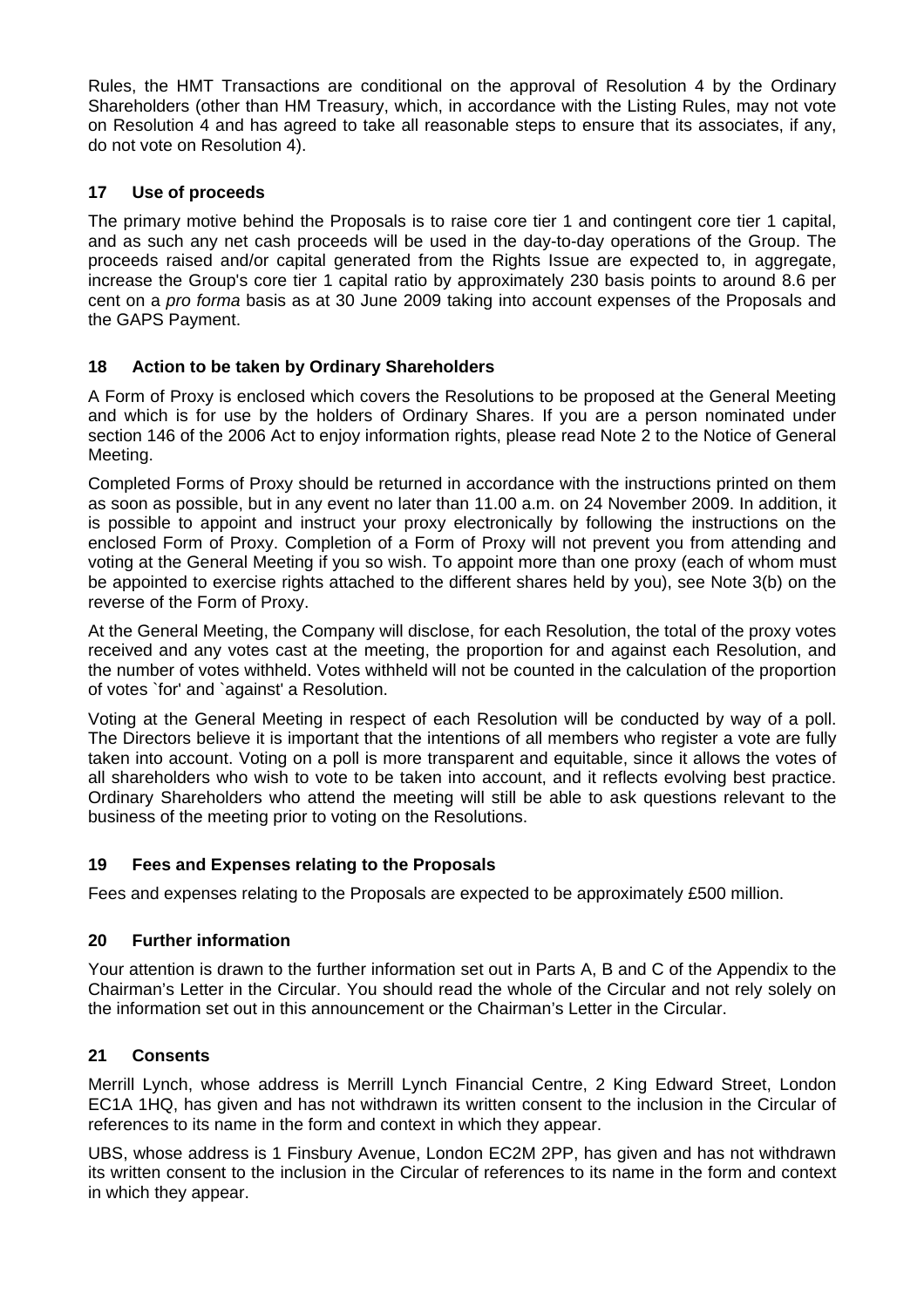Rules, the HMT Transactions are conditional on the approval of Resolution 4 by the Ordinary Shareholders (other than HM Treasury, which, in accordance with the Listing Rules, may not vote on Resolution 4 and has agreed to take all reasonable steps to ensure that its associates, if any, do not vote on Resolution 4).

## **17 Use of proceeds**

The primary motive behind the Proposals is to raise core tier 1 and contingent core tier 1 capital, and as such any net cash proceeds will be used in the day-to-day operations of the Group. The proceeds raised and/or capital generated from the Rights Issue are expected to, in aggregate, increase the Group's core tier 1 capital ratio by approximately 230 basis points to around 8.6 per cent on a *pro forma* basis as at 30 June 2009 taking into account expenses of the Proposals and the GAPS Payment.

# **18 Action to be taken by Ordinary Shareholders**

A Form of Proxy is enclosed which covers the Resolutions to be proposed at the General Meeting and which is for use by the holders of Ordinary Shares. If you are a person nominated under section 146 of the 2006 Act to enjoy information rights, please read Note 2 to the Notice of General Meeting.

Completed Forms of Proxy should be returned in accordance with the instructions printed on them as soon as possible, but in any event no later than 11.00 a.m. on 24 November 2009. In addition, it is possible to appoint and instruct your proxy electronically by following the instructions on the enclosed Form of Proxy. Completion of a Form of Proxy will not prevent you from attending and voting at the General Meeting if you so wish. To appoint more than one proxy (each of whom must be appointed to exercise rights attached to the different shares held by you), see Note 3(b) on the reverse of the Form of Proxy.

At the General Meeting, the Company will disclose, for each Resolution, the total of the proxy votes received and any votes cast at the meeting, the proportion for and against each Resolution, and the number of votes withheld. Votes withheld will not be counted in the calculation of the proportion of votes `for' and `against' a Resolution.

Voting at the General Meeting in respect of each Resolution will be conducted by way of a poll. The Directors believe it is important that the intentions of all members who register a vote are fully taken into account. Voting on a poll is more transparent and equitable, since it allows the votes of all shareholders who wish to vote to be taken into account, and it reflects evolving best practice. Ordinary Shareholders who attend the meeting will still be able to ask questions relevant to the business of the meeting prior to voting on the Resolutions.

# **19 Fees and Expenses relating to the Proposals**

Fees and expenses relating to the Proposals are expected to be approximately £500 million.

# **20 Further information**

Your attention is drawn to the further information set out in Parts A, B and C of the Appendix to the Chairman's Letter in the Circular. You should read the whole of the Circular and not rely solely on the information set out in this announcement or the Chairman's Letter in the Circular.

# **21 Consents**

Merrill Lynch, whose address is Merrill Lynch Financial Centre, 2 King Edward Street, London EC1A 1HQ, has given and has not withdrawn its written consent to the inclusion in the Circular of references to its name in the form and context in which they appear.

UBS, whose address is 1 Finsbury Avenue, London EC2M 2PP, has given and has not withdrawn its written consent to the inclusion in the Circular of references to its name in the form and context in which they appear.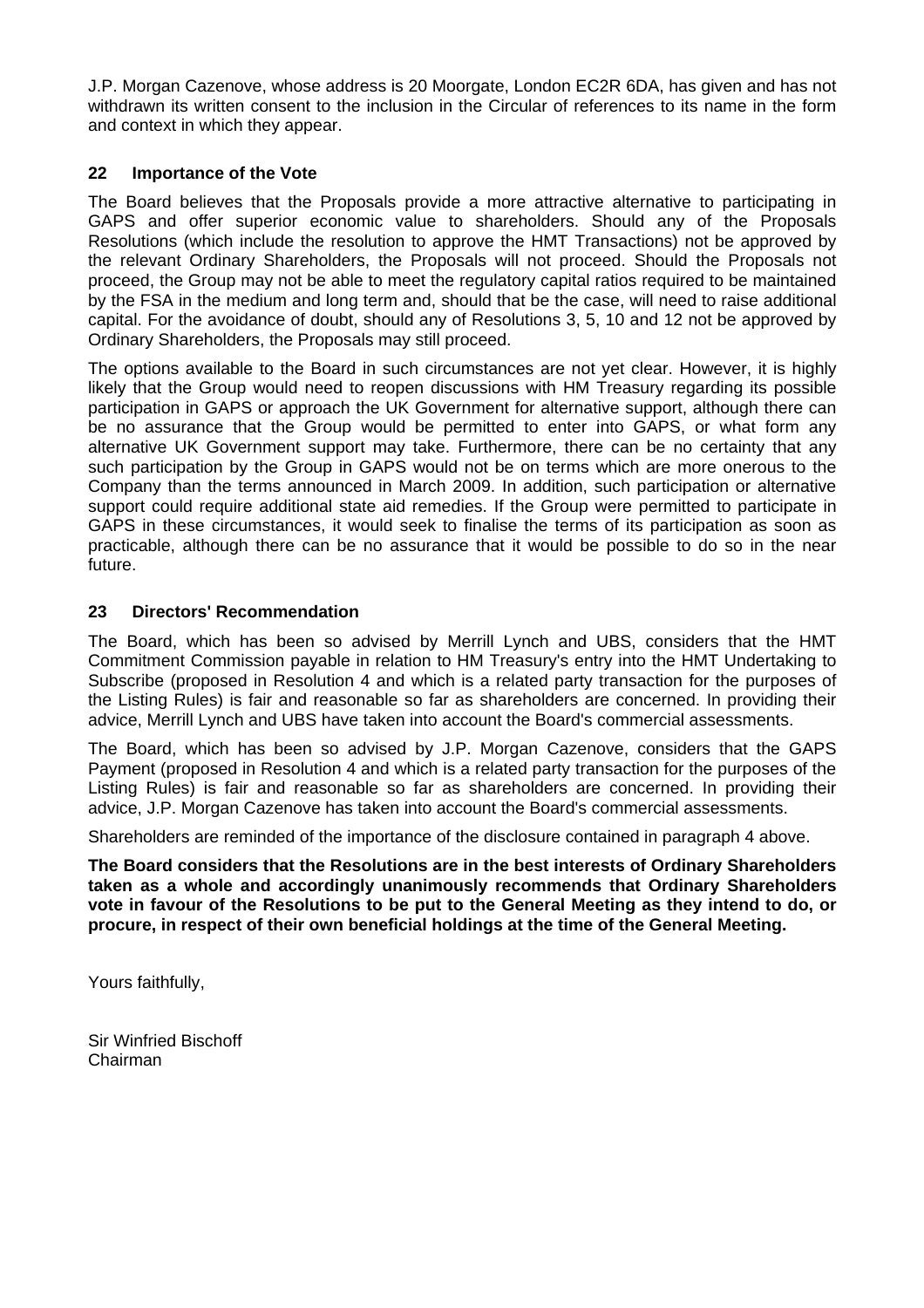J.P. Morgan Cazenove, whose address is 20 Moorgate, London EC2R 6DA, has given and has not withdrawn its written consent to the inclusion in the Circular of references to its name in the form and context in which they appear.

### **22 Importance of the Vote**

The Board believes that the Proposals provide a more attractive alternative to participating in GAPS and offer superior economic value to shareholders. Should any of the Proposals Resolutions (which include the resolution to approve the HMT Transactions) not be approved by the relevant Ordinary Shareholders, the Proposals will not proceed. Should the Proposals not proceed, the Group may not be able to meet the regulatory capital ratios required to be maintained by the FSA in the medium and long term and, should that be the case, will need to raise additional capital. For the avoidance of doubt, should any of Resolutions 3, 5, 10 and 12 not be approved by Ordinary Shareholders, the Proposals may still proceed.

The options available to the Board in such circumstances are not yet clear. However, it is highly likely that the Group would need to reopen discussions with HM Treasury regarding its possible participation in GAPS or approach the UK Government for alternative support, although there can be no assurance that the Group would be permitted to enter into GAPS, or what form any alternative UK Government support may take. Furthermore, there can be no certainty that any such participation by the Group in GAPS would not be on terms which are more onerous to the Company than the terms announced in March 2009. In addition, such participation or alternative support could require additional state aid remedies. If the Group were permitted to participate in GAPS in these circumstances, it would seek to finalise the terms of its participation as soon as practicable, although there can be no assurance that it would be possible to do so in the near future.

### **23 Directors' Recommendation**

The Board, which has been so advised by Merrill Lynch and UBS, considers that the HMT Commitment Commission payable in relation to HM Treasury's entry into the HMT Undertaking to Subscribe (proposed in Resolution 4 and which is a related party transaction for the purposes of the Listing Rules) is fair and reasonable so far as shareholders are concerned. In providing their advice, Merrill Lynch and UBS have taken into account the Board's commercial assessments.

The Board, which has been so advised by J.P. Morgan Cazenove, considers that the GAPS Payment (proposed in Resolution 4 and which is a related party transaction for the purposes of the Listing Rules) is fair and reasonable so far as shareholders are concerned. In providing their advice, J.P. Morgan Cazenove has taken into account the Board's commercial assessments.

Shareholders are reminded of the importance of the disclosure contained in paragraph 4 above.

**The Board considers that the Resolutions are in the best interests of Ordinary Shareholders taken as a whole and accordingly unanimously recommends that Ordinary Shareholders vote in favour of the Resolutions to be put to the General Meeting as they intend to do, or procure, in respect of their own beneficial holdings at the time of the General Meeting.** 

Yours faithfully,

Sir Winfried Bischoff Chairman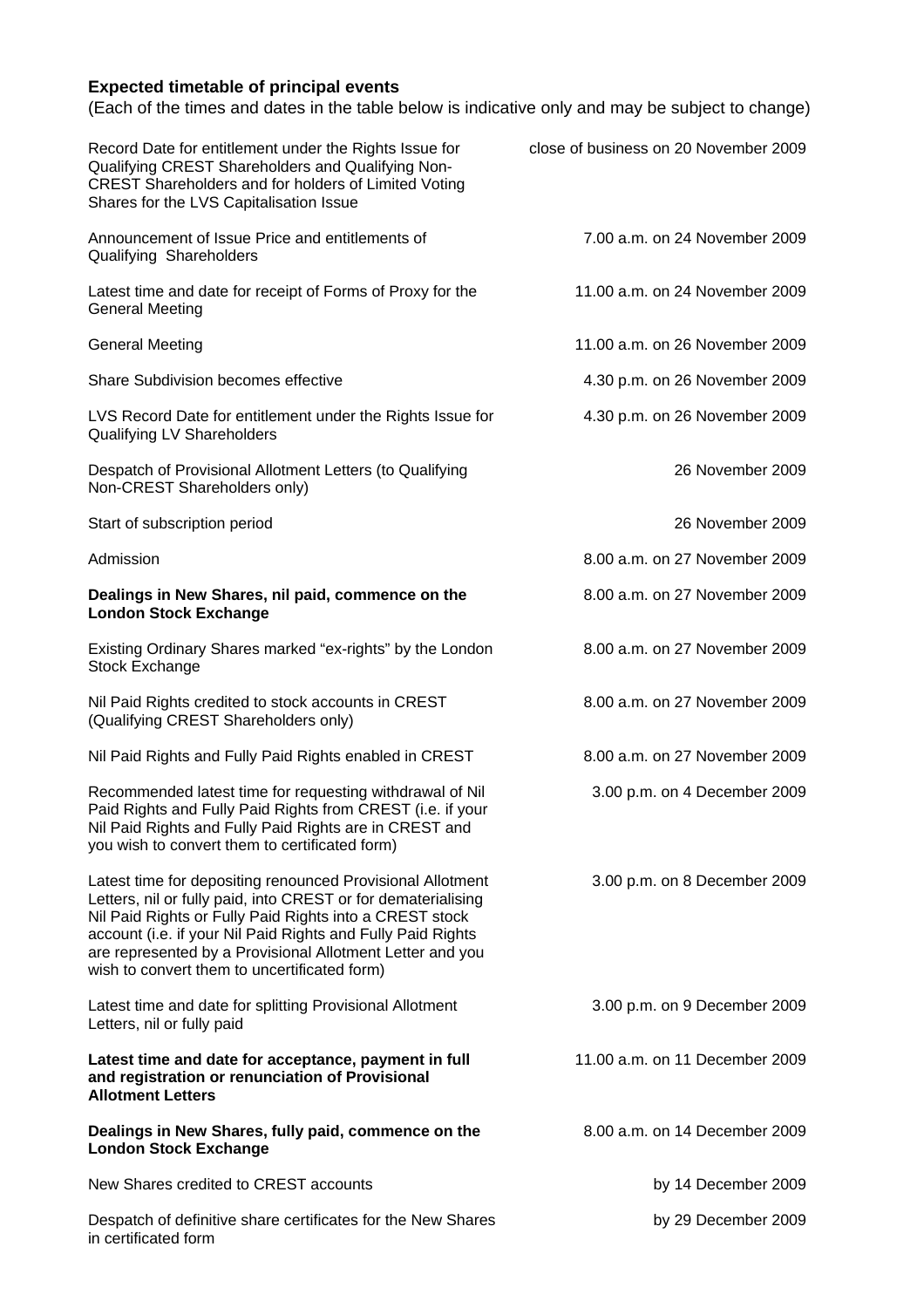# **Expected timetable of principal events**

(Each of the times and dates in the table below is indicative only and may be subject to change)

| Record Date for entitlement under the Rights Issue for<br>Qualifying CREST Shareholders and Qualifying Non-<br>CREST Shareholders and for holders of Limited Voting<br>Shares for the LVS Capitalisation Issue                                                                                                                                                     | close of business on 20 November 2009 |
|--------------------------------------------------------------------------------------------------------------------------------------------------------------------------------------------------------------------------------------------------------------------------------------------------------------------------------------------------------------------|---------------------------------------|
| Announcement of Issue Price and entitlements of<br>Qualifying Shareholders                                                                                                                                                                                                                                                                                         | 7.00 a.m. on 24 November 2009         |
| Latest time and date for receipt of Forms of Proxy for the<br><b>General Meeting</b>                                                                                                                                                                                                                                                                               | 11.00 a.m. on 24 November 2009        |
| <b>General Meeting</b>                                                                                                                                                                                                                                                                                                                                             | 11.00 a.m. on 26 November 2009        |
| Share Subdivision becomes effective                                                                                                                                                                                                                                                                                                                                | 4.30 p.m. on 26 November 2009         |
| LVS Record Date for entitlement under the Rights Issue for<br>Qualifying LV Shareholders                                                                                                                                                                                                                                                                           | 4.30 p.m. on 26 November 2009         |
| Despatch of Provisional Allotment Letters (to Qualifying<br>Non-CREST Shareholders only)                                                                                                                                                                                                                                                                           | 26 November 2009                      |
| Start of subscription period                                                                                                                                                                                                                                                                                                                                       | 26 November 2009                      |
| Admission                                                                                                                                                                                                                                                                                                                                                          | 8.00 a.m. on 27 November 2009         |
| Dealings in New Shares, nil paid, commence on the<br><b>London Stock Exchange</b>                                                                                                                                                                                                                                                                                  | 8.00 a.m. on 27 November 2009         |
| Existing Ordinary Shares marked "ex-rights" by the London<br><b>Stock Exchange</b>                                                                                                                                                                                                                                                                                 | 8.00 a.m. on 27 November 2009         |
| Nil Paid Rights credited to stock accounts in CREST<br>(Qualifying CREST Shareholders only)                                                                                                                                                                                                                                                                        | 8.00 a.m. on 27 November 2009         |
| Nil Paid Rights and Fully Paid Rights enabled in CREST                                                                                                                                                                                                                                                                                                             | 8.00 a.m. on 27 November 2009         |
| Recommended latest time for requesting withdrawal of Nil<br>Paid Rights and Fully Paid Rights from CREST (i.e. if your<br>Nil Paid Rights and Fully Paid Rights are in CREST and<br>you wish to convert them to certificated form)                                                                                                                                 | 3.00 p.m. on 4 December 2009          |
| Latest time for depositing renounced Provisional Allotment<br>Letters, nil or fully paid, into CREST or for dematerialising<br>Nil Paid Rights or Fully Paid Rights into a CREST stock<br>account (i.e. if your Nil Paid Rights and Fully Paid Rights<br>are represented by a Provisional Allotment Letter and you<br>wish to convert them to uncertificated form) | 3.00 p.m. on 8 December 2009          |
| Latest time and date for splitting Provisional Allotment<br>Letters, nil or fully paid                                                                                                                                                                                                                                                                             | 3.00 p.m. on 9 December 2009          |
| Latest time and date for acceptance, payment in full<br>and registration or renunciation of Provisional<br><b>Allotment Letters</b>                                                                                                                                                                                                                                | 11.00 a.m. on 11 December 2009        |
| Dealings in New Shares, fully paid, commence on the<br><b>London Stock Exchange</b>                                                                                                                                                                                                                                                                                | 8.00 a.m. on 14 December 2009         |
| New Shares credited to CREST accounts                                                                                                                                                                                                                                                                                                                              | by 14 December 2009                   |
| Despatch of definitive share certificates for the New Shares<br>in certificated form                                                                                                                                                                                                                                                                               | by 29 December 2009                   |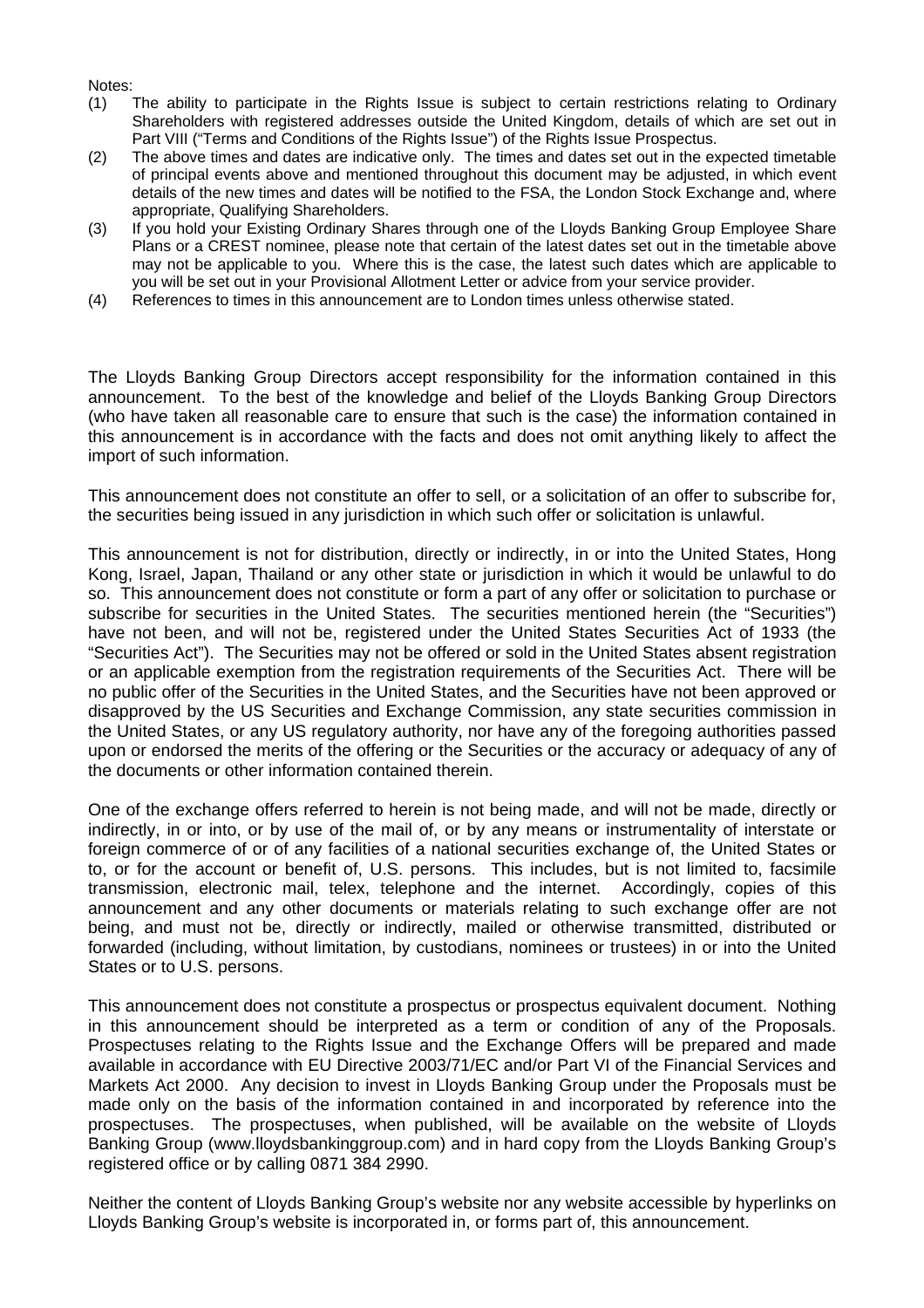#### Notes:

- (1) The ability to participate in the Rights Issue is subject to certain restrictions relating to Ordinary Shareholders with registered addresses outside the United Kingdom, details of which are set out in Part VIII ("Terms and Conditions of the Rights Issue") of the Rights Issue Prospectus.
- (2) The above times and dates are indicative only. The times and dates set out in the expected timetable of principal events above and mentioned throughout this document may be adjusted, in which event details of the new times and dates will be notified to the FSA, the London Stock Exchange and, where appropriate, Qualifying Shareholders.
- (3) If you hold your Existing Ordinary Shares through one of the Lloyds Banking Group Employee Share Plans or a CREST nominee, please note that certain of the latest dates set out in the timetable above may not be applicable to you. Where this is the case, the latest such dates which are applicable to you will be set out in your Provisional Allotment Letter or advice from your service provider.
- (4) References to times in this announcement are to London times unless otherwise stated.

The Lloyds Banking Group Directors accept responsibility for the information contained in this announcement. To the best of the knowledge and belief of the Lloyds Banking Group Directors (who have taken all reasonable care to ensure that such is the case) the information contained in this announcement is in accordance with the facts and does not omit anything likely to affect the import of such information.

This announcement does not constitute an offer to sell, or a solicitation of an offer to subscribe for, the securities being issued in any jurisdiction in which such offer or solicitation is unlawful.

This announcement is not for distribution, directly or indirectly, in or into the United States, Hong Kong, Israel, Japan, Thailand or any other state or jurisdiction in which it would be unlawful to do so. This announcement does not constitute or form a part of any offer or solicitation to purchase or subscribe for securities in the United States. The securities mentioned herein (the "Securities") have not been, and will not be, registered under the United States Securities Act of 1933 (the "Securities Act"). The Securities may not be offered or sold in the United States absent registration or an applicable exemption from the registration requirements of the Securities Act. There will be no public offer of the Securities in the United States, and the Securities have not been approved or disapproved by the US Securities and Exchange Commission, any state securities commission in the United States, or any US regulatory authority, nor have any of the foregoing authorities passed upon or endorsed the merits of the offering or the Securities or the accuracy or adequacy of any of the documents or other information contained therein.

One of the exchange offers referred to herein is not being made, and will not be made, directly or indirectly, in or into, or by use of the mail of, or by any means or instrumentality of interstate or foreign commerce of or of any facilities of a national securities exchange of, the United States or to, or for the account or benefit of, U.S. persons. This includes, but is not limited to, facsimile transmission, electronic mail, telex, telephone and the internet. Accordingly, copies of this announcement and any other documents or materials relating to such exchange offer are not being, and must not be, directly or indirectly, mailed or otherwise transmitted, distributed or forwarded (including, without limitation, by custodians, nominees or trustees) in or into the United States or to U.S. persons.

This announcement does not constitute a prospectus or prospectus equivalent document. Nothing in this announcement should be interpreted as a term or condition of any of the Proposals. Prospectuses relating to the Rights Issue and the Exchange Offers will be prepared and made available in accordance with EU Directive 2003/71/EC and/or Part VI of the Financial Services and Markets Act 2000. Any decision to invest in Lloyds Banking Group under the Proposals must be made only on the basis of the information contained in and incorporated by reference into the prospectuses. The prospectuses, when published, will be available on the website of Lloyds Banking Group (www.lloydsbankinggroup.com) and in hard copy from the Lloyds Banking Group's registered office or by calling 0871 384 2990.

Neither the content of Lloyds Banking Group's website nor any website accessible by hyperlinks on Lloyds Banking Group's website is incorporated in, or forms part of, this announcement.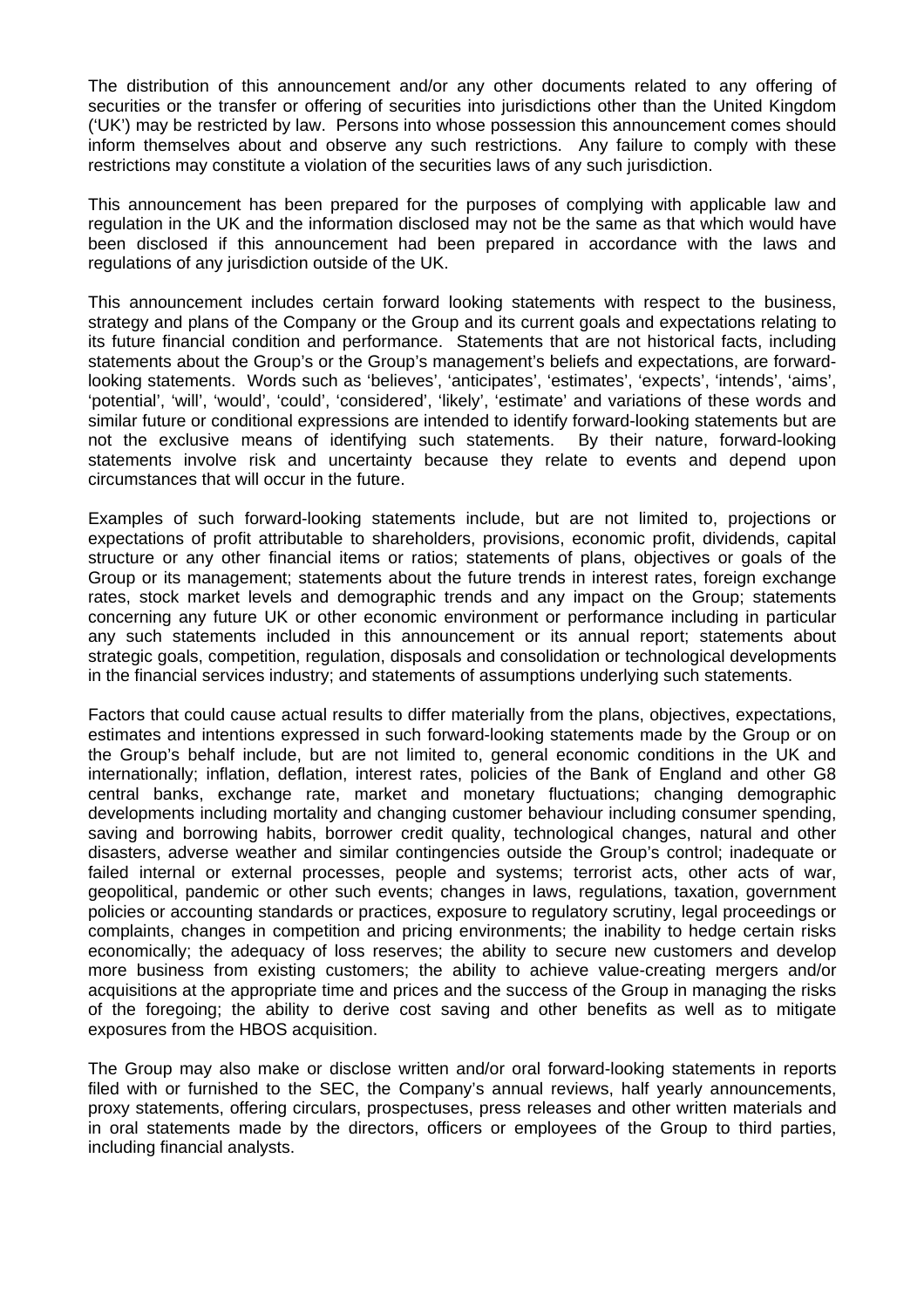The distribution of this announcement and/or any other documents related to any offering of securities or the transfer or offering of securities into jurisdictions other than the United Kingdom ('UK') may be restricted by law. Persons into whose possession this announcement comes should inform themselves about and observe any such restrictions. Any failure to comply with these restrictions may constitute a violation of the securities laws of any such jurisdiction.

This announcement has been prepared for the purposes of complying with applicable law and regulation in the UK and the information disclosed may not be the same as that which would have been disclosed if this announcement had been prepared in accordance with the laws and regulations of any jurisdiction outside of the UK.

This announcement includes certain forward looking statements with respect to the business, strategy and plans of the Company or the Group and its current goals and expectations relating to its future financial condition and performance. Statements that are not historical facts, including statements about the Group's or the Group's management's beliefs and expectations, are forwardlooking statements. Words such as 'believes', 'anticipates', 'estimates', 'expects', 'intends', 'aims', 'potential', 'will', 'would', 'could', 'considered', 'likely', 'estimate' and variations of these words and similar future or conditional expressions are intended to identify forward-looking statements but are not the exclusive means of identifying such statements. By their nature, forward-looking statements involve risk and uncertainty because they relate to events and depend upon circumstances that will occur in the future.

Examples of such forward-looking statements include, but are not limited to, projections or expectations of profit attributable to shareholders, provisions, economic profit, dividends, capital structure or any other financial items or ratios; statements of plans, objectives or goals of the Group or its management; statements about the future trends in interest rates, foreign exchange rates, stock market levels and demographic trends and any impact on the Group; statements concerning any future UK or other economic environment or performance including in particular any such statements included in this announcement or its annual report; statements about strategic goals, competition, regulation, disposals and consolidation or technological developments in the financial services industry; and statements of assumptions underlying such statements.

Factors that could cause actual results to differ materially from the plans, objectives, expectations, estimates and intentions expressed in such forward-looking statements made by the Group or on the Group's behalf include, but are not limited to, general economic conditions in the UK and internationally; inflation, deflation, interest rates, policies of the Bank of England and other G8 central banks, exchange rate, market and monetary fluctuations; changing demographic developments including mortality and changing customer behaviour including consumer spending, saving and borrowing habits, borrower credit quality, technological changes, natural and other disasters, adverse weather and similar contingencies outside the Group's control; inadequate or failed internal or external processes, people and systems; terrorist acts, other acts of war, geopolitical, pandemic or other such events; changes in laws, regulations, taxation, government policies or accounting standards or practices, exposure to regulatory scrutiny, legal proceedings or complaints, changes in competition and pricing environments; the inability to hedge certain risks economically; the adequacy of loss reserves; the ability to secure new customers and develop more business from existing customers; the ability to achieve value-creating mergers and/or acquisitions at the appropriate time and prices and the success of the Group in managing the risks of the foregoing; the ability to derive cost saving and other benefits as well as to mitigate exposures from the HBOS acquisition.

The Group may also make or disclose written and/or oral forward-looking statements in reports filed with or furnished to the SEC, the Company's annual reviews, half yearly announcements, proxy statements, offering circulars, prospectuses, press releases and other written materials and in oral statements made by the directors, officers or employees of the Group to third parties, including financial analysts.